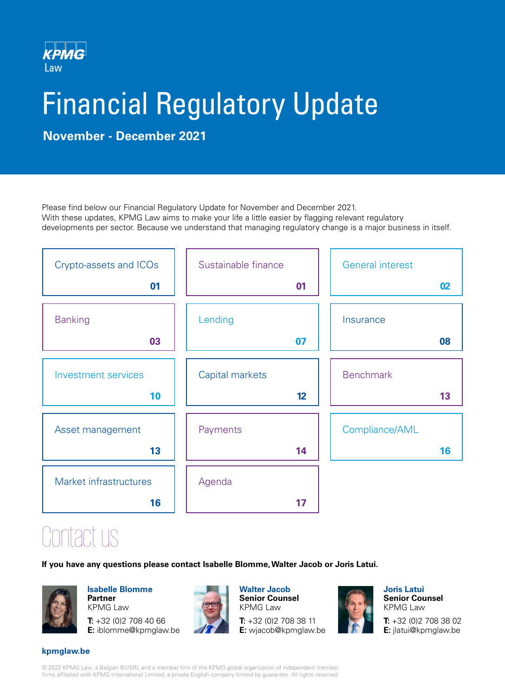

# Financial Regulatory Update

**November - December 2021**

Please find below our Financial Regulatory Update for November and December 2021. With these updates, KPMG Law aims to make your life a little easier by flagging relevant regulatory developments per sector. Because we understand that managing regulatory change is a major business in itself.

| Crypto-assets and ICOs     | Sustainable finance | <b>General interest</b> |    |
|----------------------------|---------------------|-------------------------|----|
| 01                         | 01                  |                         | 02 |
| <b>Banking</b>             | Lending             | Insurance               |    |
| 03                         | 07                  |                         | 80 |
| <b>Investment services</b> | Capital markets     | <b>Benchmark</b>        |    |
| 10                         | 12                  |                         | 13 |
| Asset management           | Payments            | Compliance/AML          |    |
| 13                         | 14                  |                         | 16 |
| Market infrastructures     | Agenda              |                         |    |
| 16                         | 17                  |                         |    |

Contact us

**If you have any questions please contact Isabelle Blomme, Walter Jacob or Joris Latui.**



**Isabelle Blomme Partner** KPMG Law

**T:** +32 (0)2 708 40 66 **E:** iblomme@kpmglaw.be



**Walter Jacob Senior Counsel** KPMG Law

**T:** +32 (0)2 708 38 11 **E:** wjacob@kpmglaw.be



**Joris Latui Senior Counsel** KPMG Law

**T:** +32 (0)2 708 38 02 **E:** jlatui@kpmglaw.be

# **kpmglaw.be**

© 2022 KPMG Law, a Belgian BV/SRL and a member firm of the KPMG global organization of independent member firms affiliated with KPMG International Limited, a private English company limited by guarantee. All rights reserved.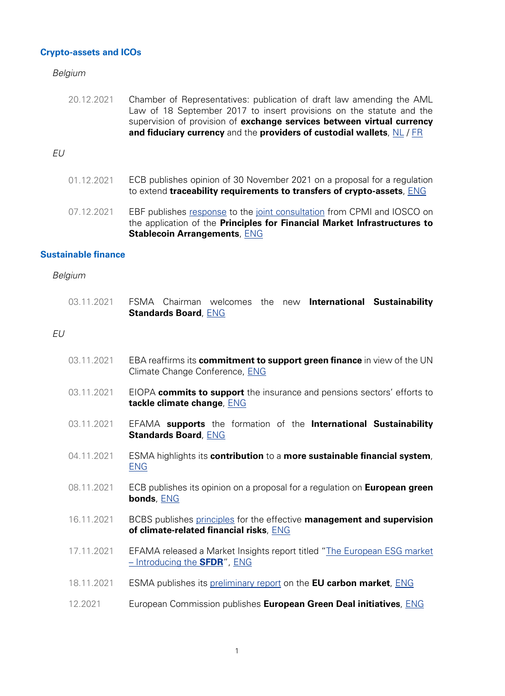# <span id="page-1-0"></span>**Crypto-assets and ICOs**

Belgium

20.12.2021 Chamber of Representatives: publication of draft law amending the AML Law of 18 September 2017 to insert provisions on the statute and the supervision of provision of **exchange services between virtual currency and fiduciary currency** and the **providers of custodial wallets**, [NL](https://www.dekamer.be/kvvcr/showpage.cfm?section=/none&leftmenu=no&language=nl&cfm=/site/wwwcfm/flwb/flwbn.cfm?lang=N&legislat=55&dossierID=2383) / [FR](https://www.dekamer.be/kvvcr/showpage.cfm?section=/none&leftmenu=no&language=fr&cfm=/site/wwwcfm/flwb/flwbn.cfm?lang=N&legislat=55&dossierID=2383)

# EU

- 01.12.2021 ECB publishes opinion of 30 November 2021 on a proposal for a regulation to extend **traceability requirements to transfers of crypto-assets**, [ENG](https://www.ecb.europa.eu/pub/pdf/other/en_con_2021_37_f_sign~fb3fe2ed28..pdf?3d9d5c2e5b3c64ad221ae0d31aae55c3)
- 07.12.2021 EBF publishes [response](https://www.ebf.eu/wp-content/uploads/2021/12/EBF_045451_EBF-Response-to-the-CPMI-IOSCO-Consultation-3.pdf) to the [joint consultation](https://www.iosco.org/library/pubdocs/pdf/IOSCOPD685.pdf) from CPMI and IOSCO on the application of the **Principles for Financial Market Infrastructures to Stablecoin Arrangements**, [ENG](https://www.ebf.eu/innovation-cybersecurity/ebf-response-to-cr-03-2021-application-of-the-principles-for-financial-market-infrastructures-to-stablecoin-arrangements/)

#### **Sustainable finance**

|    | 03.11.2021 | FSMA Chairman welcomes the new International Sustainability<br><b>Standards Board, ENG</b>                               |
|----|------------|--------------------------------------------------------------------------------------------------------------------------|
| EU |            |                                                                                                                          |
|    | 03.11.2021 | EBA reaffirms its <b>commitment to support green finance</b> in view of the UN<br>Climate Change Conference, ENG         |
|    | 03.11.2021 | EIOPA commits to support the insurance and pensions sectors' efforts to<br>tackle climate change, <b>ENG</b>             |
|    | 03.11.2021 | EFAMA supports the formation of the International Sustainability<br><b>Standards Board, ENG</b>                          |
|    | 04.11.2021 | ESMA highlights its contribution to a more sustainable financial system,<br><b>ENG</b>                                   |
|    | 08.11.2021 | ECB publishes its opinion on a proposal for a regulation on <b>European green</b><br>bonds, ENG                          |
|    | 16.11.2021 | BCBS publishes principles for the effective management and supervision<br>of climate-related financial risks, <b>ENG</b> |
|    | 17.11.2021 | EFAMA released a Market Insights report titled "The European ESG market<br>- Introducing the <b>SFDR</b> ", ENG          |
|    | 18.11.2021 | ESMA publishes its preliminary report on the <b>EU carbon market</b> , <b>ENG</b>                                        |
|    | 12.2021    | European Commission publishes European Green Deal initiatives, ENG                                                       |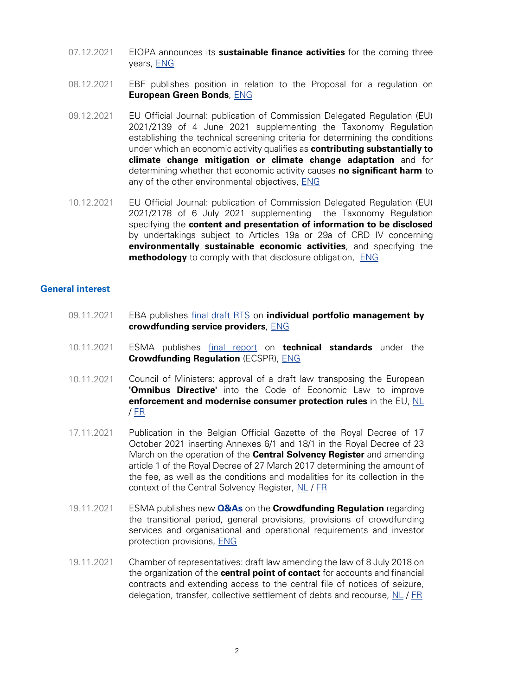- <span id="page-2-0"></span>07.12.2021 EIOPA announces its **sustainable finance activities** for the coming three years, [ENG](https://www.eiopa.europa.eu/media/news/sustainable-finance-roundtable-eiopa-announces-its-sustainable-finance-activities-coming)
- 08.12.2021 EBF publishes position in relation to the Proposal for a regulation on **European Green Bonds**, [ENG](https://www.ebf.eu/ebf-media-centre/proposal-for-a-regulation-on-european-green-bonds-ebf-position/)
- 09.12.2021 EU Official Journal: publication of Commission Delegated Regulation (EU) 2021/2139 of 4 June 2021 supplementing the Taxonomy Regulation establishing the technical screening criteria for determining the conditions under which an economic activity qualifies as **contributing substantially to climate change mitigation or climate change adaptation** and for determining whether that economic activity causes **no significant harm** to any of the other environmental objectives, [ENG](https://eur-lex.europa.eu/legal-content/EN/TXT/?uri=CELEX:32021R2139&qid=1639037016630)
- 10.12.2021 EU Official Journal: publication of Commission Delegated Regulation (EU) 2021/2178 of 6 July 2021 supplementing the Taxonomy Regulation specifying the **content and presentation of information to be disclosed** by undertakings subject to Articles 19a or 29a of CRD IV concerning **environmentally sustainable economic activities**, and specifying the **methodology** to comply with that disclosure obligation, [ENG](https://eur-lex.europa.eu/legal-content/EN/TXT/?uri=uriserv:OJ.L_.2021.443.01.0009.01.ENG&toc=OJ:L:2021:443:TOC)

# **General interest**

- 09.11.2021 EBA publishes [final draft RTS](https://www.eba.europa.eu/sites/default/documents/files/document_library/Publications/Draft%20Technical%20Standards/2021/1023768/Draft%20RTS%20on%20individual%20portfolio%20management%20of%20loans%20offered%20by%20crowdfunding%20service%20providers.pdf) on **individual portfolio management by crowdfunding service providers**, [ENG](https://www.eba.europa.eu/eba-publishes-final-draft-technical-standards-individual-portfolio-management-crowdfunding-service)
- 10.11.2021 ESMA publishes [final report](https://www.esma.europa.eu/sites/default/files/library/esma35-42-1183_final_report_-_ecspr_technical_standards.pdf) on **technical standards** under the **Crowdfunding Regulation** (ECSPR), [ENG](https://www.esma.europa.eu/press-news/esma-news/esma-publishes-technical-standards-crowdfunding)
- 10.11.2021 Council of Ministers: approval of a draft law transposing the European **'Omnibus Directive'** into the Code of Economic Law to improve **enforcement and modernise consumer protection rules** in the EU, [NL](https://news.belgium.be/nl/omzetting-van-de-europese-omnibusrichtlijn-het-wetboek-van-economisch-recht) / [FR](https://news.belgium.be/fr/transposition-de-la-directive-europeenne-omnibus-dans-le-code-de-droit-economique)
- 17.11.2021 Publication in the Belgian Official Gazette of the Royal Decree of 17 October 2021 inserting Annexes 6/1 and 18/1 in the Royal Decree of 23 March on the operation of the **Central Solvency Register** and amending article 1 of the Royal Decree of 27 March 2017 determining the amount of the fee, as well as the conditions and modalities for its collection in the context of the Central Solvency Register, [NL](http://www.ejustice.just.fgov.be/eli/besluit/2021/10/17/2021033728/staatsblad) / [FR](http://www.ejustice.just.fgov.be/eli/arrete/2021/10/17/2021033728/moniteur)
- 19.11.2021 ESMA publishes new **[Q&As](https://www.esma.europa.eu/sites/default/files/library/esma35-42-1088_qas_crowdfunding_ecspr.pdf)** on the **Crowdfunding Regulation** regarding the transitional period, general provisions, provisions of crowdfunding services and organisational and operational requirements and investor protection provisions, [ENG](https://www.esma.europa.eu/press-news/esma-news/new-qas-available-1)
- 19.11.2021 Chamber of representatives: draft law amending the law of 8 July 2018 on the organization of the **central point of contact** for accounts and financial contracts and extending access to the central file of notices of seizure, delegation, transfer, collective settlement of debts and recourse, [NL](https://www.dekamer.be/kvvcr/showpage.cfm?section=/none&leftmenu=no&language=nl&cfm=/site/wwwcfm/flwb/flwbn.cfm?lang=N&legislat=55&dossierID=2244) / [FR](https://www.dekamer.be/kvvcr/showpage.cfm?section=/none&leftmenu=no&language=fr&cfm=/site/wwwcfm/flwb/flwbn.cfm?lang=N&legislat=55&dossierID=2244)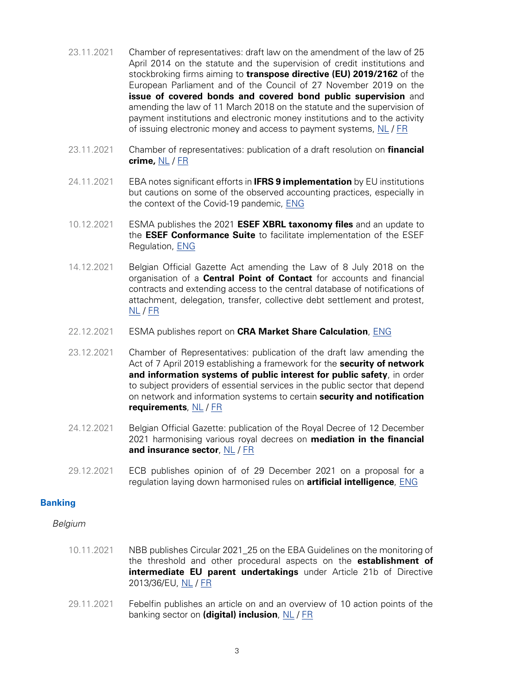- <span id="page-3-0"></span>23.11.2021 Chamber of representatives: draft law on the amendment of the law of 25 April 2014 on the statute and the supervision of credit institutions and stockbroking firms aiming to **transpose directive (EU) 2019/2162** of the European Parliament and of the Council of 27 November 2019 on the **issue of covered bonds and covered bond public supervision** and amending the law of 11 March 2018 on the statute and the supervision of payment institutions and electronic money institutions and to the activity of issuing electronic money and access to payment systems, [NL](https://www.dekamer.be/kvvcr/showpage.cfm?section=/none&leftmenu=no&language=nl&cfm=/site/wwwcfm/flwb/flwbn.cfm?lang=N&legislat=55&dossierID=2224) / [FR](https://www.dekamer.be/kvvcr/showpage.cfm?section=/none&leftmenu=no&language=fr&cfm=/site/wwwcfm/flwb/flwbn.cfm?lang=N&legislat=55&dossierID=2224)
- 23.11.2021 Chamber of representatives: publication of a draft resolution on **financial crime,** [NL](https://www.dekamer.be/kvvcr/showpage.cfm?section=/none&leftmenu=no&language=nl&cfm=/site/wwwcfm/flwb/flwbn.cfm?lang=N&legislat=55&dossierID=2331) / [FR](https://www.dekamer.be/kvvcr/showpage.cfm?section=/none&leftmenu=no&language=fr&cfm=/site/wwwcfm/flwb/flwbn.cfm?lang=N&legislat=55&dossierID=2331)
- 24.11.2021 EBA notes significant efforts in **IFRS 9 implementation** by EU institutions but cautions on some of the observed accounting practices, especially in the context of the Covid-19 pandemic, [ENG](https://www.eba.europa.eu/eba-notes-significant-efforts-ifrs-9-implementation-eu-institutions-cautions-some-observed)
- 10.12.2021 ESMA publishes the 2021 **ESEF XBRL taxonomy files** and an update to the **ESEF Conformance Suite** to facilitate implementation of the ESEF Regulation, [ENG](https://www.esma.europa.eu/press-news/esma-news/esma-publishes-2021-esef-xbrl-taxonomy-files-and-esef-conformance-suite)
- 14.12.2021 Belgian Official Gazette Act amending the Law of 8 July 2018 on the organisation of a **Central Point of Contact** for accounts and financial contracts and extending access to the central database of notifications of attachment, delegation, transfer, collective debt settlement and protest,  $NL / ER$  $NL / ER$
- 22.12.2021 ESMA publishes report on **CRA Market Share Calculation**, [ENG](https://www.esma.europa.eu/sites/default/files/library/esma80-416-197_report_on_cra_market_share_calculation.pdf)
- 23.12.2021 Chamber of Representatives: publication of the draft law amending the Act of 7 April 2019 establishing a framework for the **security of network and information systems of public interest for public safety**, in order to subject providers of essential services in the public sector that depend on network and information systems to certain **security and notification requirements**, [NL](https://www.dekamer.be/kvvcr/showpage.cfm?section=/none&leftmenu=no&language=nl&cfm=/site/wwwcfm/flwb/flwbn.cfm?lang=N&legislat=55&dossierID=2401) / [FR](https://www.dekamer.be/kvvcr/showpage.cfm?section=/none&leftmenu=no&language=fr&cfm=/site/wwwcfm/flwb/flwbn.cfm?lang=N&legislat=55&dossierID=2401)
- 24.12.2021 Belgian Official Gazette: publication of the Royal Decree of 12 December 2021 harmonising various royal decrees on **mediation in the financial and insurance sector**, [NL](http://www.ejustice.just.fgov.be/cgi_loi/change_lg.pl?language=nl&la=N&cn=2021121208&table_name=wet) / [FR](http://www.ejustice.just.fgov.be/cgi_loi/change_lg.pl?language=fr&la=F&cn=2021121208&table_name=loi)
- 29.12.2021 ECB publishes opinion of of 29 December 2021 on a proposal for a regulation laying down harmonised rules on **artificial intelligence**, [ENG](https://www.ecb.europa.eu/pub/pdf/other/en_con_2021_40_f_sign~eba69a1321..pdf?bde0d38cca2f607d45f67af0f8d3fa2a)

# **Banking**

- 10.11.2021 NBB publishes Circular 2021\_25 on the EBA Guidelines on the monitoring of the threshold and other procedural aspects on the **establishment of intermediate EU parent undertakings** under Article 21b of Directive 2013/36/EU, [NL](https://www.nbb.be/nl/artikels/circulaire-nbb202125-eba-richtsnoeren-betreffende-het-monitoren-van-de-drempel-en-andere) / [FR](https://www.nbb.be/fr/articles/circulaire-nbb202125-orientations-de-lautorite-bancaire-europeenne-abe-relatives-la)
- 29.11.2021 Febelfin publishes an article on and an overview of 10 action points of the banking sector on **(digital) inclusion**, [NL](https://www.febelfin.be/nl/press-room/tien-concrete-actiepunten-inzake-digitale-inclusie-de-banksector) / [FR](https://www.febelfin.be/fr/communique-de-presse/dix-points-daction-du-secteur-bancaire-concernant-linclusion-numerique)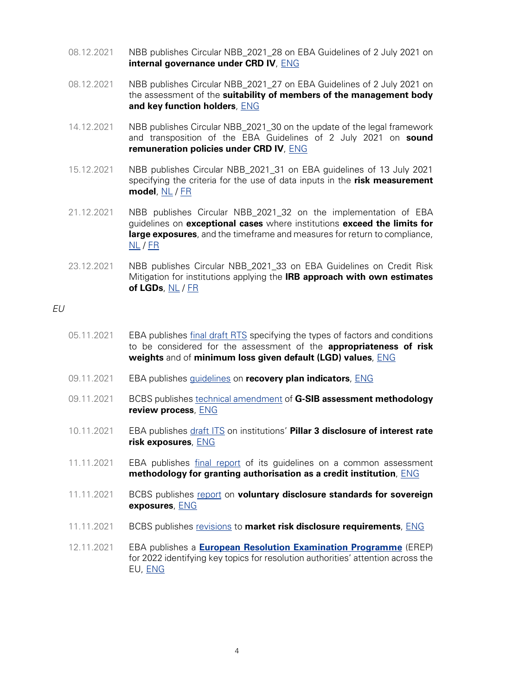- 08.12.2021 NBB publishes Circular NBB\_2021\_28 on EBA Guidelines of 2 July 2021 on **internal governance under CRD IV**, [ENG](https://www.nbb.be/en/articles/circular-nbb202128-eba-guidelines-2-july-2021-internal-governance-under-directive-201336eu)
- 08.12.2021 NBB publishes Circular NBB\_2021\_27 on EBA Guidelines of 2 July 2021 on the assessment of the **suitability of members of the management body and key function holders**, [ENG](https://www.nbb.be/en/articles/circular-nbb202127-eba-guidelines-2-july-2021-assessment-suitability-members-management)
- 14.12.2021 NBB publishes Circular NBB\_2021\_30 on the update of the legal framework and transposition of the EBA Guidelines of 2 July 2021 on **sound remuneration policies under CRD IV**, [ENG](https://www.nbb.be/en/articles/circular-nbb202130-remuneration-policy-update-legal-framework-and-transposition-eba)
- 15.12.2021 NBB publishes Circular NBB\_2021\_31 on EBA guidelines of 13 July 2021 specifying the criteria for the use of data inputs in the **risk measurement model**, [NL](https://www.nbb.be/nl/artikels/circulaire-nbb202131-richtsnoeren-van-de-europese-bankautoriteit-eba-van-13-juli-2021-tot) / [FR](https://www.nbb.be/fr/articles/circulaire-nbb202131-orientations-de-lautorite-bancaire-europeenne-abe-du-13-juillet-2021)
- 21.12.2021 NBB publishes Circular NBB\_2021\_32 on the implementation of EBA guidelines on **exceptional cases** where institutions **exceed the limits for large exposures**, and the timeframe and measures for return to compliance, [NL](https://www.nbb.be/nl/artikels/circulaire-nbb202132-uitvoering-van-de-eba-richtsnoeren-betreffende-uitzonderlijke-gevallen) / [FR](https://www.nbb.be/fr/articles/mise-en-oeuvre-des-orientations-de-labe-concernant-les-cas-exceptionnels-dans-lesquels-un)
- 23.12.2021 NBB publishes Circular NBB\_2021\_33 on EBA Guidelines on Credit Risk Mitigation for institutions applying the **IRB approach with own estimates of LGDs**, [NL](https://www.nbb.be/nl/artikels/circulaire-nbb202133-richtsnoeren-van-de-eba-van-6-mei-2020-inzake-kredietrisicolimitering) / [FR](https://www.nbb.be/fr/articles/circulaire-nbb202133-orientations-de-labe-du-6-mai-2020-sur-lattenuation-du-risque-de)

#### EU

- 05.11.2021 EBA publishes [final draft RTS](https://www.eba.europa.eu/sites/default/documents/files/document_library/Publications/Draft%20Technical%20Standards/2021/1023596/EBA%20RTS%202021%2012%20EBA%20Final%20Report%20on%20draft%20RTS%20%20on%20Articles%20124%20%284%29%20and%20164%20%288%29%20of%20the%20CRR.pdf) specifying the types of factors and conditions to be considered for the assessment of the **appropriateness of risk weights** and of **minimum loss given default (LGD) values**, [ENG](https://www.eba.europa.eu/eba-publishes-final-draft-technical-standards-specifying-how-identify-appropriate-risk-weights-and)
- 09.11.2021 EBA publishes [guidelines](https://www.eba.europa.eu/sites/default/documents/files/document_library/Publications/Guidelines/2021/EBA-GL-2021-11%20Guidelines%20on%20recovery%20plan%20indicators%20/1023794/Final%20Report%20on%20Guidelines%20on%20recovery%20plan%20indicators.pdf) on **recovery plan indicators**, [ENG](https://www.eba.europa.eu/eba-publishes-guidelines-recovery-plan-indicators)
- 09.11.2021 BCBS publishes [technical amendment](https://www.bis.org/bcbs/publ/d527.pdf) of **G-SIB assessment methodology review process**, [ENG](https://www.bis.org/bcbs/publ/d527.htm)
- 10.11.2021 EBA publishes [draft ITS](https://www.eba.europa.eu/sites/default/documents/files/document_library/Publications/Draft%20Technical%20Standards/2021/ITS%20on%20Pillar%203%20disclosure%20of%20institutions%E2%80%99%20exposures%20to%20interest%20rate%20risk%20on%20positions%20not%20held%20in%20IRRBB/D/1023859/Draft%20final%20report%20on%20draft%20ITS%20on%20IRRBB%20disclosure.pdf) on institutions' **Pillar 3 disclosure of interest rate risk exposures**, [ENG](https://www.eba.europa.eu/eba-issues-requirements-institutions%E2%80%99-pillar-3-disclosure-interest-rate-risk-exposures)
- 11.11.2021 EBA publishes [final report](https://www.eba.europa.eu/sites/default/documents/files/document_library/Publications/Guidelines/2021/EBA-gl-2021-12%20Guidelines%20on%20the%20authorisation%20of%20credit%20institutions/1023885/GL%20on%20a%20common%20assessment%20methodology.pdf) of its guidelines on a common assessment **methodology for granting authorisation as a credit institution**, [ENG](https://www.eba.europa.eu/eba-publishes-guidance-how-grant-authorisation-credit-institution)
- 11.11.2021 BCBS publishes [report](https://www.bis.org/bcbs/publ/d528.pdf) on **voluntary disclosure standards for sovereign exposures**, [ENG](https://www.bis.org/bcbs/publ/d528.htm)
- 11.11.2021 BCBS publishes [revisions](https://www.bis.org/bcbs/publ/d529.pdf) to **market risk disclosure requirements**, [ENG](https://www.bis.org/bcbs/publ/d529.htm)
- 12.11.2021 EBA publishes a **[European Resolution Examination Programme](https://www.eba.europa.eu/sites/default/documents/files/document_library/Publications/Reports/2021/1023995/European%20Resolution%20Examination%20Programme.pdf)** (EREP) for 2022 identifying key topics for resolution authorities' attention across the EU, [ENG](https://www.eba.europa.eu/eba-sets-first-examination-programme-resolution-authorities)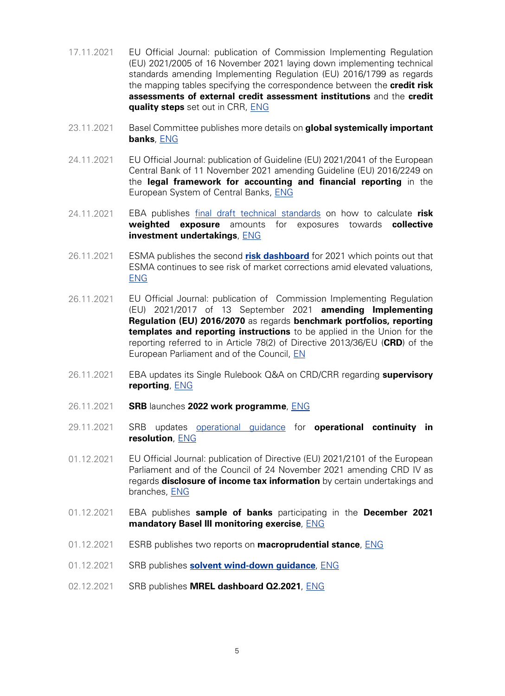- 17.11.2021 EU Official Journal: publication of Commission Implementing Regulation (EU) 2021/2005 of 16 November 2021 laying down implementing technical standards amending Implementing Regulation (EU) 2016/1799 as regards the mapping tables specifying the correspondence between the **credit risk assessments of external credit assessment institutions** and the **credit quality steps** set out in CRR, [ENG](https://eur-lex.europa.eu/legal-content/EN/TXT/?uri=CELEX:32021R2005)
- 23.11.2021 Basel Committee publishes more details on **global systemically important banks**, [ENG](https://www.bis.org/press/p211123.htm)
- 24.11.2021 EU Official Journal: publication of Guideline (EU) 2021/2041 of the European Central Bank of 11 November 2021 amending Guideline (EU) 2016/2249 on the **legal framework for accounting and financial reporting** in the European System of Central Banks, [ENG](https://eur-lex.europa.eu/legal-content/EN/TXT/?uri=uriserv%3AOJ.L_.2021.419.01.0014.01.ENG&toc=OJ%3AL%3A2021%3A419%3ATOC)
- 24.11.2021 EBA publishes [final draft technical standards](https://www.eba.europa.eu/sites/default/documents/files/document_library/Publications/Draft%20Technical%20Standards/2021/1024753/Final%20Report%20on%20RTS%20on%20CIUs.pdf) on how to calculate **risk weighted exposure** amounts for exposures towards **collective investment undertakings**, [ENG](https://www.eba.europa.eu/eba-publishes-final-draft-technical-standards-how-calculate-risk-weighted-exposure-amounts-exposures)
- 26.11.2021 ESMA publishes the second **[risk dashboard](https://www.esma.europa.eu/sites/default/files/library/esma50-165-1891_risk_dashboard_no_2_2021.pdf)** for 2021 which points out that ESMA continues to see risk of market corrections amid elevated valuations, [ENG](https://www.esma.europa.eu/press-news/esma-news/esma-continues-see-risk-market-corrections-amid-elevated-valuations)
- 26.11.2021 EU Official Journal: publication of Commission Implementing Regulation (EU) 2021/2017 of 13 September 2021 **amending Implementing Regulation (EU) 2016/2070** as regards **benchmark portfolios, reporting templates and reporting instructions** to be applied in the Union for the reporting referred to in Article 78(2) of Directive 2013/36/EU (**CRD**) of the European Parliament and of the Council, [EN](https://eur-lex.europa.eu/legal-content/EN/TXT/?uri=uriserv%3AOJ.L_.2021.424.01.0001.01.ENG&toc=OJ%3AL%3A2021%3A424%3ATOC)
- 26.11.2021 EBA updates its Single Rulebook Q&A on CRD/CRR regarding **supervisory reporting**, [ENG](https://www.eba.europa.eu/regulation-and-policy/single-rulebook/interactive-single-rulebook/504)
- 26.11.2021 **SRB** launches **2022 work programme**, [ENG](https://www.srb.europa.eu/en/content/srb-launches-2022-work-programme)
- 29.11.2021 SRB updates [operational guidance](https://www.srb.europa.eu/system/files/media/document/2021-11-29_SRB-Operational-Guidance-for-Operational-Continuity-in-Resolution.pdf) for **operational continuity in resolution**, [ENG](https://www.srb.europa.eu/en/content/srb-updates-operational-guidance-operational-continuity-resolution)
- 01.12.2021 EU Official Journal: publication of Directive (EU) 2021/2101 of the European Parliament and of the Council of 24 November 2021 amending CRD IV as regards **disclosure of income tax information** by certain undertakings and branches, [ENG](https://eur-lex.europa.eu/legal-content/EN/TXT/?uri=CELEX:32021L2101)
- 01.12.2021 EBA publishes **sample of banks** participating in the **December 2021 mandatory Basel III monitoring exercise**, [ENG](https://www.eba.europa.eu/eba-publishes-sample-banks-participating-december-2021-mandatory-basel-iii-monitoring-exercise)
- 01.12.2021 ESRB publishes two reports on **macroprudential stance**, [ENG](https://www.esrb.europa.eu/news/pr/date/2021/html/esrb.pr211201~a5c4a6ba0d.en.html)
- 01.12.2021 SRB publishes **[solvent wind-down guidance](https://www.srb.europa.eu/system/files/media/document/2021-12-01_Solvent-wind-down-guidance-for-banks.pdf)**, [ENG](https://www.srb.europa.eu/en/content/srb-publishes-solvent-wind-down-guidance)
- 02.12.2021 SRB publishes **MREL dashboard Q2.2021**, [ENG](https://www.srb.europa.eu/en/content/single-resolution-board-publishes-mrel-dashboard-q22021)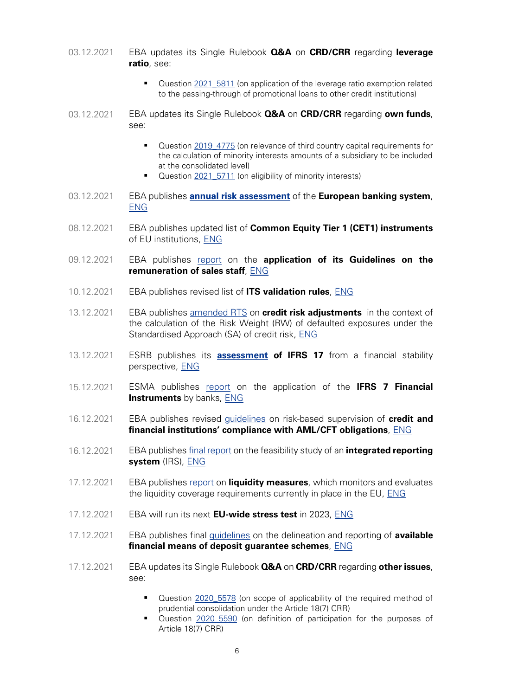**ratio**, see: ■ Question [2021\\_5811](https://www.eba.europa.eu/single-rule-book-qa/qna/view/publicId/2021_5811) (on application of the leverage ratio exemption related to the passing-through of promotional loans to other credit institutions) 03.12.2021 EBA updates its Single Rulebook **Q&A** on **CRD/CRR** regarding **own funds**, see: ■ Question 2019 4775 (on relevance of third country capital requirements for the calculation of minority interests amounts of a subsidiary to be included at the consolidated level) ■ Question [2021\\_5711](https://www.eba.europa.eu/single-rule-book-qa/qna/view/publicId/2021_5711) (on eligibility of minority interests) 03.12.2021 EBA publishes **[annual risk assessment](https://www.eba.europa.eu/sites/default/documents/files/document_library/Risk%20Analysis%20and%20Data/EU%20Wide%20Transparency%20Exercise/2021/1025102/Risk_Assessment_Report_December_2021.pdf)** of the **European banking system**, [ENG](https://www.eba.europa.eu/eba-risk-assessment-shows-improvements-eu-banks-solvency-profitability-and-liquidity-asset-price) 08.12.2021 EBA publishes updated list of **Common Equity Tier 1 (CET1) instruments** of EU institutions, [ENG](https://www.eba.europa.eu/eba-updates-monitoring-cet1-capital-instruments) 09.12.2021 EBA publishes [report](https://www.eba.europa.eu/sites/default/documents/files/document_library/Publications/Reports/2021/1025186/EBA%20Report%20on%20the%20Application%20of%20the%20Guidelines%20on%20the%20Remuneration%20of%20Sales%20Staff.pdf) on the **application of its Guidelines on the remuneration of sales staff**, [ENG](https://www.eba.europa.eu/eba-report-highlights-shortcomings-application-its-guidelines-remuneration-sales-staff) 10.12.2021 EBA publishes revised list of **ITS validation rules**, [ENG](https://www.eba.europa.eu/eba-issues-revised-list-its-validation-rules-7) 13.12.2021 EBA publishes [amended RTS](https://www.eba.europa.eu/sites/default/documents/files/document_library/Publications/Draft%20Technical%20Standards/2021/RTS%20amending%20RTS%20on%20credit%20risk%20adjustments/1025320/Final%20Report%20RTS%20amending%20RTS%20on%20CRAs.pdf) on **credit risk adjustments** in the context of the calculation of the Risk Weight (RW) of defaulted exposures under the Standardised Approach (SA) of credit risk, [ENG](https://www.eba.europa.eu/eba-publishes%C2%A0-amended-technical-standards-credit-risk-adjustments) 13.12.2021 ESRB publishes its **[assessment](https://www.esrb.europa.eu/pub/pdf/reports/esrb.report.FinancialstabilityimplicationofIFRS.202112~1c930d5e1b.en.pdf) of IFRS 17** from a financial stability perspective, [ENG](https://www.esrb.europa.eu/news/pr/date/2021/html/esrb.pr211213~648f8cca39.en.html) 15.12.2021 ESMA publishes [report](https://www.esma.europa.eu/sites/default/files/library/esma32-339-169_report_on_the_application_of_the_ifrs_7_and_ifrs_9_requirements_regarding_banks_expected_credit_losses.pdf) on the application of the **IFRS 7 Financial Instruments** by banks, [ENG](https://www.esma.europa.eu/press-news/esma-news/esma-publishes-report-expected-credit-loss-disclosures-banks) 16.12.2021 EBA publishes revised [guidelines](https://www.eba.europa.eu/sites/default/documents/files/document_library/Publications/Guidelines/2021/EBA-GL-2021-16%20GL%20on%20RBA%20to%20AML%20CFT/1025507/EBA%20Final%20Report%20on%20GL%20on%20RBA%20AML%20CFT.pdf) on risk-based supervision of **credit and financial institutions' compliance with AML/CFT obligations**, [ENG](https://www.eba.europa.eu/eba-strengthens-amlcft-supervision-eu-through-revised-guidelines-and-enhanced-cooperation) 16.12.2021 EBA publishes [final report](https://www.eba.europa.eu/sites/default/documents/files/document_library/Publications/Reports/2021/Integrated%20reporting/1025496/EBA%20Final%20report%20on%20Feasibility%20study%20of%20the%20integrated%20reporting%20system.pdf) on the feasibility study of an **integrated reporting system** (IRS), [ENG](https://www.eba.europa.eu/eba%E2%80%99s-feasibility-study-integrated-reporting-system-provides-long-term-vision-increasing) 17.12.2021 EBA publishes [report](https://www.eba.europa.eu/sites/default/documents/files/document_library/Publications/Reports/2021/1025522/EBA%20Report%20on%20Liquidity%20Measures%20under%20Article%20509%281%29%20of%20the%20CRR.pdf) on **liquidity measures**, which monitors and evaluates the liquidity coverage requirements currently in place in the EU, [ENG](https://www.eba.europa.eu/eba-confirms-eu-banks%E2%80%99-solid-overall-liquidity-position-warns-about-low-foreign-currency-liquidity) 17.12.2021 EBA will run its next **EU-wide stress test** in 2023, [ENG](https://www.eba.europa.eu/eba-will-run-its-next-eu-wide-stress-test-2023) 17.12.2021 EBA publishes final [guidelines](https://www.eba.europa.eu/sites/default/documents/files/document_library/Publications/Guidelines/2021/EBA-GL-2021-17%20GL%20on%20delineation%20and%20reporting%20AFM/1025710/Final%20report%20on%20GLs%20on%20delineation%20and%20reporting%20of%20AFMs.pdf) on the delineation and reporting of **available financial means of deposit guarantee schemes**, [ENG](https://www.eba.europa.eu/eba-publishes-final-guidelines-delineation-and-reporting-available-financial-means-deposit-guarantee) 17.12.2021 EBA updates its Single Rulebook **Q&A** on **CRD/CRR** regarding **other issues**, see: ■ Question 2020 5578 (on scope of applicability of the required method of prudential consolidation under the Article 18(7) CRR) ■ Question [2020\\_5590](https://www.eba.europa.eu/single-rule-book-qa/qna/view/publicId/2020_5590) (on definition of participation for the purposes of Article 18(7) CRR)

03.12.2021 EBA updates its Single Rulebook **Q&A** on **CRD/CRR** regarding **leverage**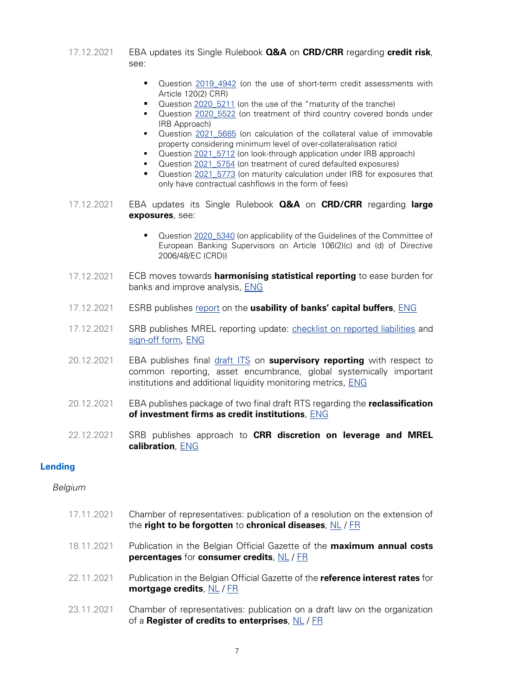- <span id="page-7-0"></span>17.12.2021 EBA updates its Single Rulebook **Q&A** on **CRD/CRR** regarding **credit risk**, see:
	- Question [2019\\_4942](https://www.eba.europa.eu/single-rule-book-qa/-/qna/view/publicId/2019_4942) (on the use of short-term credit assessments with Article 120(2) CRR)
	- Question [2020\\_5211](https://www.eba.europa.eu/single-rule-book-qa/qna/view/publicId/2020_5211) (on the use of the "maturity of the tranche)
	- Question [2020\\_5522](https://www.eba.europa.eu/single-rule-book-qa/qna/view/publicId/2020_5522) (on treatment of third country covered bonds under IRB Approach)
	- Question [2021\\_5685](https://www.eba.europa.eu/single-rule-book-qa/qna/view/publicId/2021_5685) (on calculation of the collateral value of immovable property considering minimum level of over-collateralisation ratio)
	- Question [2021\\_5712](https://www.eba.europa.eu/single-rule-book-qa/qna/view/publicId/2021_5712) (on look-through application under IRB approach)
	- Question 2021 5754 (on treatment of cured defaulted exposures)
	- Question [2021\\_5773](https://www.eba.europa.eu/single-rule-book-qa/qna/view/publicId/2021_5773) (on maturity calculation under IRB for exposures that only have contractual cashflows in the form of fees)
- 17.12.2021 EBA updates its Single Rulebook **Q&A** on **CRD/CRR** regarding **large exposures**, see:
	- Question [2020\\_5340](https://www.eba.europa.eu/single-rule-book-qa/qna/view/publicId/2020_5340) (on applicability of the Guidelines of the Committee of European Banking Supervisors on Article 106(2)(c) and (d) of Directive 2006/48/EC (CRD))
- 17.12.2021 ECB moves towards **harmonising statistical reporting** to ease burden for banks and improve analysis, [ENG](https://www.ecb.europa.eu/press/pr/date/2021/html/ecb.pr211217~168928ae51.en.html)
- 17.12.2021 ESRB publishes [report](https://www.esrb.europa.eu/pub/pdf/reports/esrb.ATFreport211217_capitalbuffers~a1d4725ab0.en.pdf) on the **usability of banks' capital buffers**, [ENG](https://www.esrb.europa.eu/news/pr/date/2021/html/esrb.pr211217~2b55d2dc28.en.html)
- 17.12.2021 SRB publishes MREL reporting update: [checklist on reported liabilities](https://www.srb.europa.eu/system/files/media/document/2021-12-16_MREL-Checklist-for-Reporting-Eligible-Liabilities.pdf) and [sign-off form,](https://www.srb.europa.eu/system/files/media/document/2021-12-16_Sign-off-form-on-eligibility-of%20-reported-liabilities.pdf) [ENG](https://www.srb.europa.eu/en/content/mrel-reporting-update-checklist-reported-liabilities-and-sign-form-0)
- 20.12.2021 EBA publishes final [draft ITS](https://www.eba.europa.eu/sites/default/documents/files/document_library/Publications/Draft%20Technical%20Standards/2021/ITS%20on%20OF%20GSII%20ALMM/1025603/Final%20Report%20on%20draft%20ITS%20on%20Supervisory%20Reporting%20regarding%20COREP%2C%20AE%2C%20ALMM%20and%20GSIIs.pdf) on **supervisory reporting** with respect to common reporting, asset encumbrance, global systemically important institutions and additional liquidity monitoring metrics, [ENG](https://www.eba.europa.eu/eba-introduces-enhanced-proportionality-supervisory-reporting)
- 20.12.2021 EBA publishes package of two final draft RTS regarding the **reclassification of investment firms as credit institutions**, [ENG](https://www.eba.europa.eu/eba-publishes%C2%A0%C2%A0methodology%C2%A0-investment-firms-be-reclassified-credit-institutions%C2%A0)
- 22.12.2021 SRB publishes approach to **CRR discretion on leverage and MREL calibration**, [ENG](https://www.srb.europa.eu/en/content/srb-approach-crr-discretion-leverage-and-mrel-calibration)

# **Lending**

# Belgium

17.11.2021 Chamber of representatives: publication of a resolution on the extension of the **right to be forgotten** to **chronical diseases**, [NL](https://www.dekamer.be/kvvcr/showpage.cfm?section=/none&leftmenu=no&language=nl&cfm=/site/wwwcfm/flwb/flwbn.cfm?lang=N&legislat=55&dossierID=2067) / [FR](https://www.dekamer.be/kvvcr/showpage.cfm?section=/none&leftmenu=no&language=fr&cfm=/site/wwwcfm/flwb/flwbn.cfm?lang=N&legislat=55&dossierID=2067) 18.11.2021 Publication in the Belgian Official Gazette of the **maximum annual costs percentages** for **consumer credits**, [NL](http://www.ejustice.just.fgov.be/cgi/article_body.pl?language=nl&caller=summary&pub_date=21-11-18&numac=2021022186) / [FR](http://www.ejustice.just.fgov.be/cgi/article_body.pl?language=fr&caller=summary&pub_date=21-11-18&numac=2021022186) 22.11.2021 Publication in the Belgian Official Gazette of the **reference interest rates** for **mortgage credits**, [NL](http://www.ejustice.just.fgov.be/cgi/article_body.pl?language=nl&caller=summary&pub_date=21-11-22&numac=2021091311) / [FR](http://www.ejustice.just.fgov.be/cgi/article_body.pl?language=fr&caller=summary&pub_date=21-11-22&numac=2021091311) 23.11.2021 Chamber of representatives: publication on a draft law on the organization of a **Register of credits to enterprises**, [NL](https://www.dekamer.be/kvvcr/showpage.cfm?section=/none&leftmenu=no&language=nl&cfm=/site/wwwcfm/flwb/flwbn.cfm?lang=N&legislat=55&dossierID=2211) / [FR](https://www.dekamer.be/kvvcr/showpage.cfm?section=/none&leftmenu=no&language=fr&cfm=/site/wwwcfm/flwb/flwbn.cfm?lang=N&legislat=55&dossierID=2211)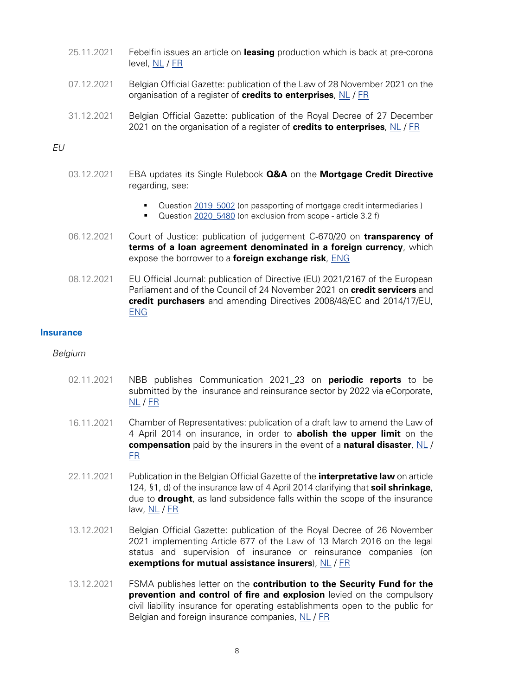- <span id="page-8-0"></span>25.11.2021 Febelfin issues an article on **leasing** production which is back at pre-corona level, [NL](https://www.febelfin.be/nl/press-room/leasingproductie-opnieuw-op-precorona-niveau) / [FR](https://www.febelfin.be/fr/communique-de-presse/la-production-de-leasing-revient-au-niveau-davant-la-crise-du-corona)
- 07.12.2021 Belgian Official Gazette: publication of the Law of 28 November 2021 on the organisation of a register of **credits to enterprises**, [NL](http://www.ejustice.just.fgov.be/cgi_loi/change_lg.pl?language=nl&la=N&cn=2021112804&table_name=wet) / [FR](http://www.ejustice.just.fgov.be/cgi_loi/change_lg.pl?language=fr&la=F&cn=2021112804&table_name=loi)
- 31.12.2021 Belgian Official Gazette: publication of the Royal Decree of 27 December 2021 on the organisation of a register of **credits to enterprises**, [NL](http://www.ejustice.just.fgov.be/cgi_loi/change_lg.pl?language=nl&la=N&cn=2021122705&table_name=wet) / [FR](http://www.ejustice.just.fgov.be/cgi_loi/change_lg.pl?language=fr&la=F&cn=2021122705&table_name=loi)

# EU

- 03.12.2021 EBA updates its Single Rulebook **Q&A** on the **Mortgage Credit Directive** regarding, see:
	- Question [2019\\_5002](https://www.eba.europa.eu/single-rule-book-qa/qna/view/publicId/2019_5002) (on passporting of mortgage credit intermediaries )
	- Question [2020\\_5480](https://www.eba.europa.eu/single-rule-book-qa/qna/view/publicId/2020_5480) (on exclusion from scope article 3.2 f)
- 06.12.2021 Court of Justice: publication of judgement C‑670/20 on **transparency of terms of a loan agreement denominated in a foreign currency**, which expose the borrower to a **foreign exchange risk**, [ENG](https://curia.europa.eu/juris/document/document.jsf?text=&docid=251319&pageIndex=0&doclang=EN&mode=lst&dir=&occ=first&part=1&cid=423679)
- 08.12.2021 EU Official Journal: publication of Directive (EU) 2021/2167 of the European Parliament and of the Council of 24 November 2021 on **credit servicers** and **credit purchasers** and amending Directives 2008/48/EC and 2014/17/EU, [ENG](https://eur-lex.europa.eu/eli/dir/2021/2167)

#### **Insurance**

- 02.11.2021 NBB publishes Communication 2021\_23 on **periodic reports** to be submitted by the insurance and reinsurance sector by 2022 via eCorporate, [NL](https://www.nbb.be/nl/artikels/mededeling-nbb202123-verzekerings-en-herverzekeringssector-periodieke-verslagen-die-2022) / [FR](https://www.nbb.be/fr/articles/communication-nbb2021023-secteur-de-lassurance-et-de-la-reassurance-rapports-periodiques)
- 16.11.2021 Chamber of Representatives: publication of a draft law to amend the Law of 4 April 2014 on insurance, in order to **abolish the upper limit** on the **compensation** paid by the insurers in the event of a **natural disaster**, [NL](https://www.dekamer.be/kvvcr/showpage.cfm?section=/none&leftmenu=no&language=nl&cfm=/site/wwwcfm/flwb/flwbn.cfm?lang=N&legislat=55&dossierID=2319) / [FR](https://www.dekamer.be/kvvcr/showpage.cfm?section=/none&leftmenu=no&language=fr&cfm=/site/wwwcfm/flwb/flwbn.cfm?lang=N&legislat=55&dossierID=2319)
- 22.11.2021 Publication in the Belgian Official Gazette of the **interpretative law** on article 124, §1, d) of the insurance law of 4 April 2014 clarifying that **soil shrinkage**, due to **drought**, as land subsidence falls within the scope of the insurance law, [NL](http://www.ejustice.just.fgov.be/eli/wet/2021/10/29/2021043088/staatsblad) / [FR](http://www.ejustice.just.fgov.be/eli/loi/2021/10/29/2021043088/moniteur)
- 13.12.2021 Belgian Official Gazette: publication of the Royal Decree of 26 November 2021 implementing Article 677 of the Law of 13 March 2016 on the legal status and supervision of insurance or reinsurance companies (on **exemptions for mutual assistance insurers**), [NL](http://www.ejustice.just.fgov.be/cgi_loi/change_lg.pl?language=nl&la=N&cn=2021112608&table_name=wet) / [FR](http://www.ejustice.just.fgov.be/cgi_loi/change_lg.pl?language=fr&la=F&cn=2021112608&table_name=loi)
- 13.12.2021 FSMA publishes letter on the **contribution to the Security Fund for the prevention and control of fire and explosion** levied on the compulsory civil liability insurance for operating establishments open to the public for Belgian and foreign insurance companies, [NL](https://www.fsma.be/nl/verzekerings-en-herverzekeringsonderneming) / [FR](https://www.fsma.be/fr/entreprises-dassurance-et-de-reassurance)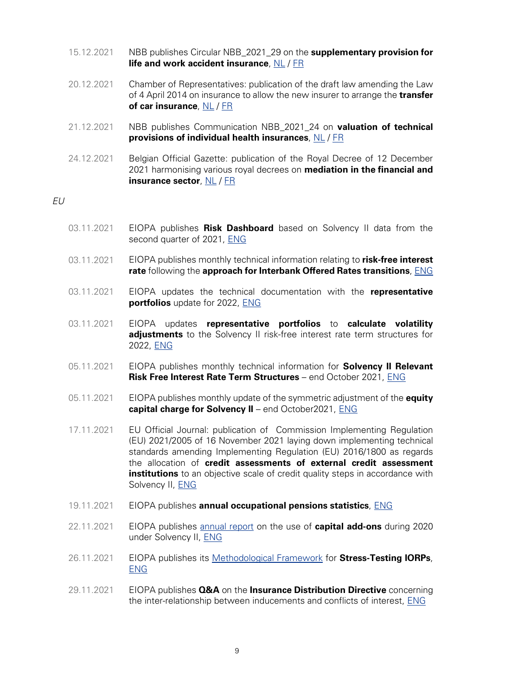- 15.12.2021 NBB publishes Circular NBB\_2021\_29 on the **supplementary provision for life and work accident insurance**, [NL](https://www.nbb.be/nl/article-types/circulars-insurance-and-reinsurance-companies) / [FR](https://www.nbb.be/fr/article-types/circulars-insurance-and-reinsurance-companies)
- 20.12.2021 Chamber of Representatives: publication of the draft law amending the Law of 4 April 2014 on insurance to allow the new insurer to arrange the **transfer of car insurance**, [NL](https://www.dekamer.be/kvvcr/showpage.cfm?section=/none&leftmenu=no&language=nl&cfm=/site/wwwcfm/flwb/flwbn.cfm?lang=N&legislat=55&dossierID=2395) / [FR](https://www.dekamer.be/kvvcr/showpage.cfm?section=/none&leftmenu=no&language=fr&cfm=/site/wwwcfm/flwb/flwbn.cfm?lang=N&legislat=55&dossierID=2395)
- 21.12.2021 NBB publishes Communication NBB\_2021\_24 on **valuation of technical provisions of individual health insurances**, [NL](https://www.nbb.be/nl/article-types/circulars-insurance-and-reinsurance-companies) / [FR](https://www.nbb.be/fr/article-types/circulars-insurance-and-reinsurance-companies)
- 24.12.2021 Belgian Official Gazette: publication of the Royal Decree of 12 December 2021 harmonising various royal decrees on **mediation in the financial and insurance sector**, [NL](http://www.ejustice.just.fgov.be/cgi_loi/change_lg.pl?language=nl&la=N&cn=2021121208&table_name=wet) / [FR](http://www.ejustice.just.fgov.be/cgi_loi/change_lg.pl?language=fr&la=F&cn=2021121208&table_name=loi)

# EU

- 03.11.2021 EIOPA publishes **Risk Dashboard** based on Solvency II data from the second quarter of 2021, [ENG](https://www.eiopa.europa.eu/media/news/risk-dashboard-european-insurers%E2%80%99-risk-levels-remain-broadly-stable)
- 03.11.2021 EIOPA publishes monthly technical information relating to **risk-free interest rate** following the **approach for Interbank Offered Rates transitions**, [ENG](https://www.eiopa.europa.eu/media/news/parallel-publication-of-monthly-technical-information-relating-rfr-following-approach)
- 03.11.2021 EIOPA updates the technical documentation with the **representative portfolios** update for 2022, [ENG](https://www.eiopa.europa.eu/media/news/eiopa-updates-technical-documentation-representative-portfolios-update-2022)
- 03.11.2021 EIOPA updates **representative portfolios** to **calculate volatility adjustments** to the Solvency II risk-free interest rate term structures for 2022, [ENG](https://www.eiopa.europa.eu/media/news/eiopa-updates-representative-portfolios-calculate-volatility-adjustments-solvency-ii-2)
- 05.11.2021 EIOPA publishes monthly technical information for **Solvency II Relevant Risk Free Interest Rate Term Structures** – end October 2021, [ENG](https://www.eiopa.europa.eu/media/news/eiopa-publishes-monthly-technical-information-solvency-ii-relevant-risk-free-interest-2)
- 05.11.2021 EIOPA publishes monthly update of the symmetric adjustment of the **equity capital charge for Solvency II** – end October2021, [ENG](https://www.eiopa.europa.eu/media/news/monthly-update-of-symmetric-adjustment-of-equity-capital-charge-solvency-ii-%E2%80%93-end-0)
- 17.11.2021 EU Official Journal: publication of Commission Implementing Regulation (EU) 2021/2005 of 16 November 2021 laying down implementing technical standards amending Implementing Regulation (EU) 2016/1800 as regards the allocation of **credit assessments of external credit assessment institutions** to an objective scale of credit quality steps in accordance with Solvency II, [ENG](https://eur-lex.europa.eu/legal-content/EN/TXT/?uri=CELEX:32021R2006)
- 19.11.2021 EIOPA publishes **annual occupational pensions statistics**, [ENG](https://www.eiopa.europa.eu/media/news/eiopa-publishes-annual-occupational-pensions-statistics)
- 22.11.2021 EIOPA publishes [annual report](https://www.eiopa.europa.eu/sites/default/files/publications/reports/report-on-the-use-of-capital-add-ons-in-2020_final_0.pdf) on the use of **capital add-ons** during 2020 under Solvency II, [ENG](https://www.eiopa.europa.eu/media/news/eiopa-publishes-annual-report-use-of-capital-add-ons-during-2020-under-solvency-ii)
- 26.11.2021 EIOPA publishes its [Methodological Framework](https://www.eiopa.europa.eu/sites/default/files/publications/other_documents/methodological-framework-for-stress-testing-iorps-cover.pdf) for **Stress-Testing IORPs**, [ENG](https://www.eiopa.europa.eu/media/news/eiopa-publishes-its-methodological-framework-stress-testing-iorps)
- 29.11.2021 EIOPA publishes **Q&A** on the **Insurance Distribution Directive** concerning the inter-relationship between inducements and conflicts of interest, [ENG](https://www.eiopa.europa.eu/media/news/questions-answers-insurance-distribution-directive-0)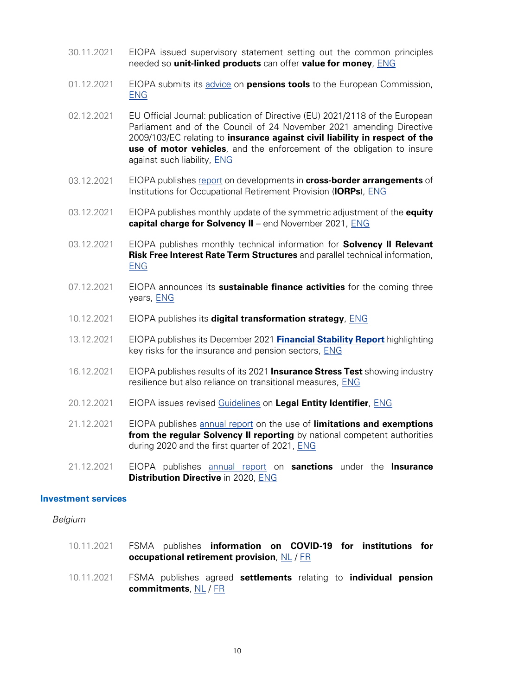- <span id="page-10-0"></span>30.11.2021 EIOPA issued supervisory statement setting out the common principles needed so **unit-linked products** can offer **value for money**, [ENG](https://www.eiopa.europa.eu/content/eiopa-sets-out-framework-delivering-better-value-money-consumer-centric-way)
- 01.12.2021 EIOPA submits its [advice](https://www.eiopa.europa.eu/document-library/advice/technical-advice-development-of-pension-tracking-systems_en) on **pensions tools** to the European Commission, [ENG](https://www.eiopa.europa.eu/media/news/eiopa-submits-its-advice-pensions-tools-european-commission)
- 02.12.2021 EU Official Journal: publication of Directive (EU) 2021/2118 of the European Parliament and of the Council of 24 November 2021 amending Directive 2009/103/EC relating to **insurance against civil liability in respect of the use of motor vehicles**, and the enforcement of the obligation to insure against such liability, [ENG](https://eur-lex.europa.eu/legal-content/EN/TXT/?uri=CELEX:32021L2118)
- 03.12.2021 EIOPA publishes [report](https://www.eiopa.europa.eu/sites/default/files/financial_stability/pensions-statistics/2021-eiopa-report-on-cross-border-iorps.pdf) on developments in **cross-border arrangements** of Institutions for Occupational Retirement Provision (**IORPs**), [ENG](https://www.eiopa.europa.eu/media/news/eiopa-analyses-trends-cross-border-iorps)
- 03.12.2021 EIOPA publishes monthly update of the symmetric adjustment of the **equity capital charge for Solvency II** – end November 2021, [ENG](https://www.eiopa.europa.eu/media/news/monthly-update-of-symmetric-adjustment-of-equity-capital-charge-solvency-ii-%E2%80%93-end-0)
- 03.12.2021 EIOPA publishes monthly technical information for **Solvency II Relevant Risk Free Interest Rate Term Structures** and parallel technical information, [ENG](https://www.eiopa.europa.eu/media/news/eiopa-publishes-monthly-technical-information-solvency-ii-relevant-risk-free-interest-3)
- 07.12.2021 EIOPA announces its **sustainable finance activities** for the coming three years, [ENG](https://www.eiopa.europa.eu/media/news/sustainable-finance-roundtable-eiopa-announces-its-sustainable-finance-activities-coming)
- 10.12.2021 EIOPA publishes its **digital transformation strategy**, [ENG](https://www.eiopa.europa.eu/media/news/eiopa-sets-out-forward-looking-digital-transformation-strategy)
- 13.12.2021 EIOPA publishes its December 2021 **[Financial Stability Report](https://www.eiopa.europa.eu/sites/default/files/financial_stability/financial-stability-report-december-2021_1.pdf)** highlighting key risks for the insurance and pension sectors, [ENG](https://www.eiopa.europa.eu/media/news/eiopa-highlights-key-risks-insurance-and-pension-sectors)
- 16.12.2021 EIOPA publishes results of its 2021 **Insurance Stress Test** showing industry resilience but also reliance on transitional measures, [ENG](https://www.eiopa.europa.eu/media/news/eiopa-insurance-stress-test-shows-industry-resilience-also-reliance-transitional-measures)
- 20.12.2021 EIOPA issues revised [Guidelines](https://www.eiopa.europa.eu/document-library/guidelines/revised-guidelines-legal-entity-identifier_en) on **Legal Entity Identifier**, [ENG](https://www.eiopa.europa.eu/media/news/eiopa-issues-revised-guidelines-legal-entity-identifier)
- 21.12.2021 EIOPA publishes [annual report](https://www.eiopa.europa.eu/sites/default/files/publications/reports/report_on_limitations_and_exemptions_during_2020_and_q1_2021.pdf) on the use of **limitations and exemptions from the regular Solvency II reporting** by national competent authorities during 2020 and the first quarter of 2021, [ENG](https://www.eiopa.europa.eu/media/news/eiopa-analyses-use-of-limitations-and-exemptions-reporting-under-solvency-ii)
- 21.12.2021 EIOPA publishes [annual report](https://www.eiopa.europa.eu/sites/default/files/publications/reports/eiopa_2nd_annual_report_idd_sanctions_2020.pdf) on **sanctions** under the **Insurance Distribution Directive** in 2020, [ENG](https://www.eiopa.europa.eu/media/news/eiopa-publishes-annual-report-sanctions-under-insurance-distribution-directive-2020)

#### **Investment services**

- 10.11.2021 FSMA publishes **information on COVID-19 for institutions for occupational retirement provision**, [NL](https://www.fsma.be/nl/news/covid-19-informatie-voor-instellingen-voor-bedrijfspensioenvoorziening) / [FR](https://www.fsma.be/fr/news/covid-19-information-pour-les-institutions-de-retraite-professionnelle)
- 10.11.2021 FSMA publishes agreed **settlements** relating to **individual pension commitments**, [NL](https://www.fsma.be/nl/news/minnelijke-schikkingen-over-individuele-pensioentoezeggingen-0) / [FR](https://www.fsma.be/fr/news/reglements-transactionnels-portant-sur-des-engagements-individuels-de-pension)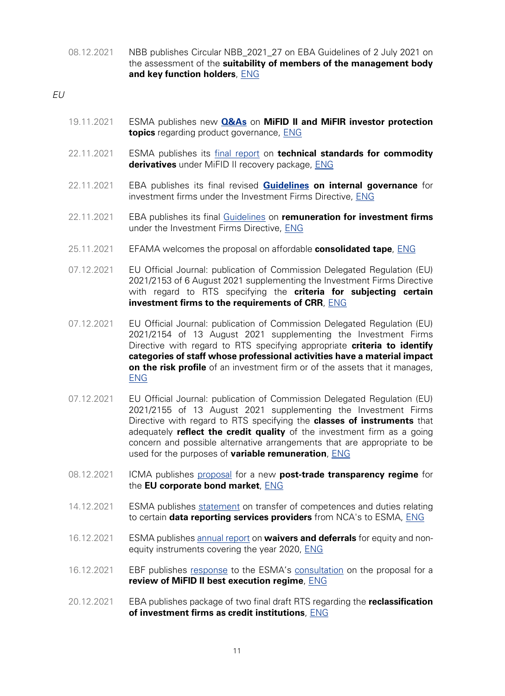08.12.2021 NBB publishes Circular NBB\_2021\_27 on EBA Guidelines of 2 July 2021 on the assessment of the **suitability of members of the management body and key function holders**, [ENG](https://www.nbb.be/en/articles/circular-nbb202127-eba-guidelines-2-july-2021-assessment-suitability-members-management)

EU

- 19.11.2021 ESMA publishes new **[Q&As](https://www.esma.europa.eu/sites/default/files/library/esma35-43-349_mifid_ii_qas_on_investor_protection_topics.pdf)** on **MiFID II and MiFIR investor protection topics** regarding product governance, [ENG](https://www.esma.europa.eu/press-news/esma-news/new-qas-available-1)
- 22.11.2021 ESMA publishes its [final report](https://www.esma.europa.eu/sites/default/files/library/esma70-156-4710_final_report_technical_standards_for_commodity_derivatives.pdf) on **technical standards for commodity derivatives** under MiFID II recovery package, [ENG](https://www.esma.europa.eu/press-news/esma-news/esma-publishes-draft-commodity-derivative-technical-standards-under-mifid-ii)
- 22.11.2021 EBA publishes its final revised **[Guidelines](https://www.eba.europa.eu/sites/default/documents/files/document_library/Publications/Guidelines/2021/EBA-GL-2021-14%20Guidelines%20on%20internal%20governance%20under%20IFD/1024534/Final%20Report%20on%20GL%20on%20internal%20governance%20under%20IFD.pdf) on internal governance** for investment firms under the Investment Firms Directive, [ENG](https://www.eba.europa.eu/eba-publishes-its-final-revised-guidelines-internal-governance-investment-firms-under-investment)
- 22.11.2021 EBA publishes its final [Guidelines](https://www.eba.europa.eu/sites/default/documents/files/document_library/Publications/Guidelines/2021/EBA-GL-2021-13%20Guidelines%20on%20remuneration%20under%20IFD/1024533/Final%20Report%20on%20GL%20on%20sound%20remuneration%20policies%20under%20IFD.pdf) on **remuneration for investment firms** under the Investment Firms Directive, [ENG](https://www.eba.europa.eu/eba-publishes-its-final-guidelines-remuneration-investment-firms-under-investment-firms-directive)
- 25.11.2021 EFAMA welcomes the proposal on affordable **consolidated tape**, [ENG](https://www.efama.org/newsroom/news/efama-welcomes-proposal-affordable-consolidated-tape-association-continues-urge)
- 07.12.2021 EU Official Journal: publication of Commission Delegated Regulation (EU) 2021/2153 of 6 August 2021 supplementing the Investment Firms Directive with regard to RTS specifying the **criteria for subjecting certain investment firms to the requirements of CRR**, [ENG](https://eur-lex.europa.eu/eli/reg_del/2021/2153)
- 07.12.2021 EU Official Journal: publication of Commission Delegated Regulation (EU) 2021/2154 of 13 August 2021 supplementing the Investment Firms Directive with regard to RTS specifying appropriate **criteria to identify categories of staff whose professional activities have a material impact on the risk profile** of an investment firm or of the assets that it manages, [ENG](https://eur-lex.europa.eu/legal-content/EN/TXT/?uri=CELEX:32021R2154)
- 07.12.2021 EU Official Journal: publication of Commission Delegated Regulation (EU) 2021/2155 of 13 August 2021 supplementing the Investment Firms Directive with regard to RTS specifying the **classes of instruments** that adequately **reflect the credit quality** of the investment firm as a going concern and possible alternative arrangements that are appropriate to be used for the purposes of **variable remuneration**, [ENG](https://eur-lex.europa.eu/legal-content/EN/TXT/?uri=CELEX%3A32021R2155)
- 08.12.2021 ICMA publishes [proposal](https://www.icmagroup.org/assets/documents/Regulatory/MiFID-Review/EU-Consolidated-Tape-for-Bond-Markets-Final-report-for-the-European-Commission-290420v2.pdf) for a new **post-trade transparency regime** for the **EU corporate bond market**, [ENG](https://www.icmagroup.org/News/news-in-brief/icma-proposal-for-a-new-post-trade-transparency-regime-for-the-eu-corporate-bond-market/)
- 14.12.2021 ESMA publishes [statement](https://www.esma.europa.eu/document/drsp-public-statement-transfer-competences-and-duties-relating-certain-data-reporting) on transfer of competences and duties relating to certain **data reporting services providers** from NCA's to ESMA, [ENG](https://www.esma.europa.eu/press-news/esma-news/statement-transfer-competences-and-duties-relating-certain-data-reporting)
- 16.12.2021 ESMA publishes [annual report](https://www.esma.europa.eu/sites/default/files/library/esma70-156-4474_annual_report_2021_waivers_and_deferrals.pdf) on **waivers and deferrals** for equity and nonequity instruments covering the year 2020, [ENG](https://www.esma.europa.eu/press-news/esma-news/esma-publishes-its-annual-report-waivers-and-deferrals)
- 16.12.2021 EBF publishes [response](https://www.ebf.eu/wp-content/uploads/2021/12/EBF-response_form_consultation_paper_review_of_mifid_ii_framework_on_best_execution_reports.pdf) to the ESMA's [consultation](https://www.esma.europa.eu/press-news/esma-news/esma-consults-proposals-review-mifid-ii-best-execution-reporting-regime) on the proposal for a **review of MiFID II best execution regime**, [ENG](https://www.ebf.eu/financing-growth/ebf-response-to-the-esma-consultation-on-proposal-for-a-review-of-mifid-ii-best-execution-regime/)
- 20.12.2021 EBA publishes package of two final draft RTS regarding the **reclassification of investment firms as credit institutions**, [ENG](https://www.eba.europa.eu/eba-publishes%C2%A0%C2%A0methodology%C2%A0-investment-firms-be-reclassified-credit-institutions%C2%A0)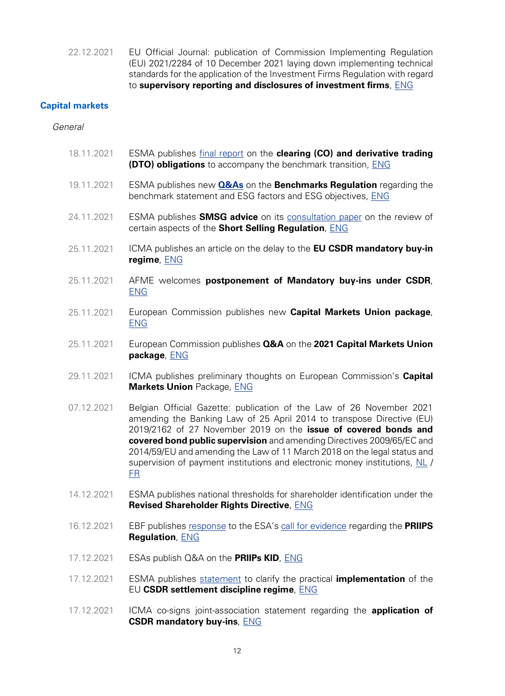<span id="page-12-0"></span>22.12.2021 EU Official Journal: publication of Commission Implementing Regulation (EU) 2021/2284 of 10 December 2021 laying down implementing technical standards for the application of the Investment Firms Regulation with regard to **supervisory reporting and disclosures of investment firms**, [ENG](https://eur-lex.europa.eu/legal-content/EN/TXT/?uri=CELEX:32021R2284)

# **Capital markets**

#### General

- 18.11.2021 ESMA publishes [final report](https://www.esma.europa.eu/sites/default/files/library/esma70-156-4953_final_report_on_the_co_and_dto_re_benchmark_transition.pdf) on the **clearing (CO) and derivative trading (DTO) obligations** to accompany the benchmark transition, [ENG](https://www.esma.europa.eu/press-news/esma-news/esma-proposes-changes-scope-clearing-and-derivative-trading-obligations)
- 19.11.2021 ESMA publishes new **[Q&As](https://www.esma.europa.eu/sites/default/files/library/esma70-145-114_qas_on_bmr.pdf)** on the **Benchmarks Regulation** regarding the benchmark statement and ESG factors and ESG objectives, [ENG](https://www.esma.europa.eu/press-news/esma-news/new-qas-available-1)
- 24.11.2021 ESMA publishes **SMSG advice** on its [consultation paper](https://www.esma.europa.eu/press-news/consultations/consultation-paper-review-certain-aspects-short-selling-regulation) on the review of certain aspects of the **Short Selling Regulation**, [ENG](https://www.esma.europa.eu/sites/default/files/library/esma22-106-3734_smsg_advice_ssr.pdf)
- 25.11.2021 ICMA publishes an article on the delay to the **EU CSDR mandatory buy-in regime**, [ENG](https://www.icmagroup.org/News/news-in-brief/delay-to-the-eu-csdr-mandatory-buy-in-regime/)
- 25.11.2021 AFME welcomes **postponement of Mandatory buy-ins under CSDR**, [ENG](https://www.afme.eu/news/press-releases/details/AFME-welcomes-postponement-of-Mandatory-Buy-Ins-under-CSDR--)
- 25.11.2021 European Commission publishes new **Capital Markets Union package**, [ENG](https://ec.europa.eu/commission/presscorner/detail/en/ip_21_6251)
- 25.11.2021 European Commission publishes **Q&A** on the **2021 Capital Markets Union package**, [ENG](https://ec.europa.eu/commission/presscorner/detail/en/qanda_21_6252)
- 29.11.2021 ICMA publishes preliminary thoughts on European Commission's **Capital Markets Union** Package, [ENG](https://www.icmagroup.org/News/news-in-brief/icma-publishes-preliminary-thoughts-on-ecs-cmu-package/)
- 07.12.2021 Belgian Official Gazette: publication of the Law of 26 November 2021 amending the Banking Law of 25 April 2014 to transpose Directive (EU) 2019/2162 of 27 November 2019 on the **issue of covered bonds and covered bond public supervision** and amending Directives 2009/65/EC and 2014/59/EU and amending the Law of 11 March 2018 on the legal status and supervision of payment institutions and electronic money institutions, [NL](http://www.ejustice.just.fgov.be/cgi_loi/change_lg.pl?language=nl&la=N&cn=2021112604&table_name=wet) / [FR](http://www.ejustice.just.fgov.be/cgi_loi/change_lg.pl?language=fr&la=F&cn=2021112604&table_name=loi)
- 14.12.2021 ESMA publishes national thresholds for shareholder identification under the **Revised Shareholder Rights Directive**, [ENG](https://www.esma.europa.eu/sites/default/files/library/esma32-380-143_national_thresholds_for_shareholder_identification_under_the_revised_srd.pdf)
- 16.12.2021 EBF publishes [response](https://www.ebf.eu/wp-content/uploads/2021/12/EBF-Position-paper-Final-Response-ESMA-consultation-PRIIPS-Dec-2021.pdf) to the ESA's [call for evidence](https://www.esma.europa.eu/press-news/consultations/joint-call-evidence-european-commission-mandate-regarding-priips-regulation) regarding the **PRIIPS Regulation**, [ENG](https://www.ebf.eu/ebf-media-centre/ebf-response-to-the-joint-call-for-evidence-on-the-european-commission-mandate-regarding-the-priips-regulation/)
- 17.12.2021 ESAs publish Q&A on the **PRIIPs KID**, [ENG](https://www.esma.europa.eu/sites/default/files/library/jc_2017_49_jc_priips_qa.pdf)
- 17.12.2021 ESMA publishes [statement](https://www.esma.europa.eu/sites/default/files/library/esma70-156-5153_public_statement_on_buy-in.pdf) to clarify the practical **implementation** of the EU **CSDR settlement discipline regime**, [ENG](https://www.esma.europa.eu/press-news/esma-news/esma-calls-deprioritise-buy-in-supervision)
- 17.12.2021 ICMA co-signs joint-association statement regarding the **application of CSDR mandatory buy-ins**, [ENG](https://www.icmagroup.org/News/news-in-brief/icma-co-signs-joint-association-statement-regarding-the-application-of-csdr-mandatory-buy-ins/)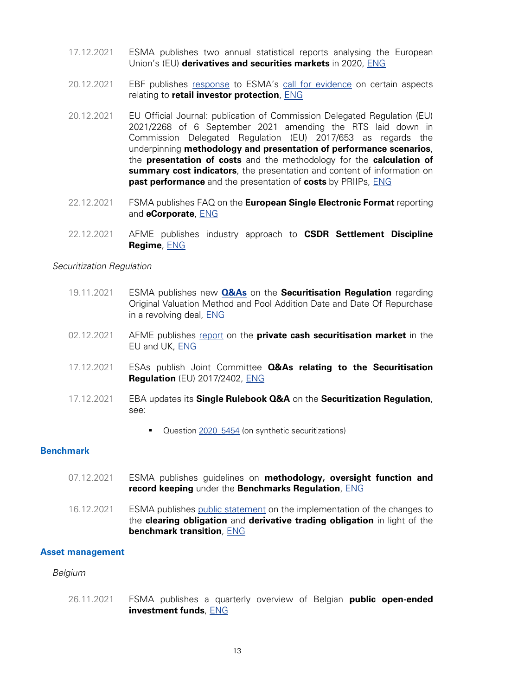- <span id="page-13-0"></span>17.12.2021 ESMA publishes two annual statistical reports analysing the European Union's (EU) **derivatives and securities markets** in 2020, [ENG](https://www.esma.europa.eu/press-news/esma-news/esma-reports-derivatives-and-securities-markets-in-2020)
- 20.12.2021 EBF publishes [response](https://www.ebf.eu/wp-content/uploads/2021/12/EBF-Final-Reponse-to-ESMA-CfE-RIS-Dec-2021.pdf) to ESMA's [call for evidence](https://www.esma.europa.eu/press-news/consultations/call-evidence-retail-investor-protection-aspects) on certain aspects relating to **retail investor protection**, [ENG](https://www.ebf.eu/market-securities/ebf-response-to-esmas-call-for-evidence-on-certain-aspects-relating-to-retail-investor-protection/)
- 20.12.2021 EU Official Journal: publication of Commission Delegated Regulation (EU) 2021/2268 of 6 September 2021 amending the RTS laid down in Commission Delegated Regulation (EU) 2017/653 as regards the underpinning **methodology and presentation of performance scenarios**, the **presentation of costs** and the methodology for the **calculation of summary cost indicators**, the presentation and content of information on **past performance** and the presentation of **costs** by PRIIPs, [ENG](https://eur-lex.europa.eu/legal-content/EN/TXT/?uri=CELEX:32021R2268)
- 22.12.2021 FSMA publishes FAQ on the **European Single Electronic Format** reporting and **eCorporate**, [ENG](https://www.fsma.be/sites/default/files/media/files/2021-12/fsma_2021_19_en.pdf)
- 22.12.2021 AFME publishes industry approach to **CSDR Settlement Discipline Regime**, [ENG](https://www.afme.eu/news/press-releases/details/Industry-Approach-CSDR-Settlement-Discipline-Regime)

#### Securitization Regulation

- 19.11.2021 ESMA publishes new **[Q&As](https://www.esma.europa.eu/sites/default/files/library/esma33-128-563_questions_and_answers_on_securitisation.pdf)** on the **Securitisation Regulation** regarding Original Valuation Method and Pool Addition Date and Date Of Repurchase in a revolving deal, [ENG](https://www.esma.europa.eu/press-news/esma-news/new-qas-available-1)
- 02.12.2021 AFME publishes [report](https://www.afme.eu/publications/reports/details/European-Benchmarking-Exercise-EBE-for-Private-Securitisations) on the **private cash securitisation market** in the EU and UK, [ENG](https://www.afme.eu/news/press-releases/details/New-report-highlights-importance-of-private-securitisation-market-to-real-economy)
- 17.12.2021 ESAs publish Joint Committee **Q&As relating to the Securitisation Regulation** (EU) 2017/2402, [ENG](https://www.esma.europa.eu/sites/default/files/library/jc_2021_19_jcsc_qas_on_securitisation_regulation.pdf)
- 17.12.2021 EBA updates its **Single Rulebook Q&A** on the **Securitization Regulation**, see:
	- Question [2020\\_5454](https://www.eba.europa.eu/single-rule-book-qa/qna/view/publicId/2020_5454) (on synthetic securitizations)

#### **Benchmark**

- 07.12.2021 ESMA publishes guidelines on **methodology, oversight function and record keeping** under the **Benchmarks Regulation**, [ENG](https://www.esma.europa.eu/sites/default/files/library/esma81-393-288_guidelines_on_methodology_oversight_function_and_record_keeping_under_the_benchmarks_regulation.pdf)
- 16.12.2021 ESMA publishes [public statement](https://www.esma.europa.eu/document/statement-implementation-co-and-dto-in-view-benchmark-transition) on the implementation of the changes to the **clearing obligation** and **derivative trading obligation** in light of the **benchmark transition**, [ENG](https://www.esma.europa.eu/press-news/esma-news/esma-issues-statement-supervision-clearing-and-derivative-trading-obligations)

### **Asset management**

#### Belgium

26.11.2021 FSMA publishes a quarterly overview of Belgian **public open-ended investment funds**, [ENG](https://www.fsma.be/en/news/belgian-investment-funds-have-reached-record-more-199-billion-euros-net-assets)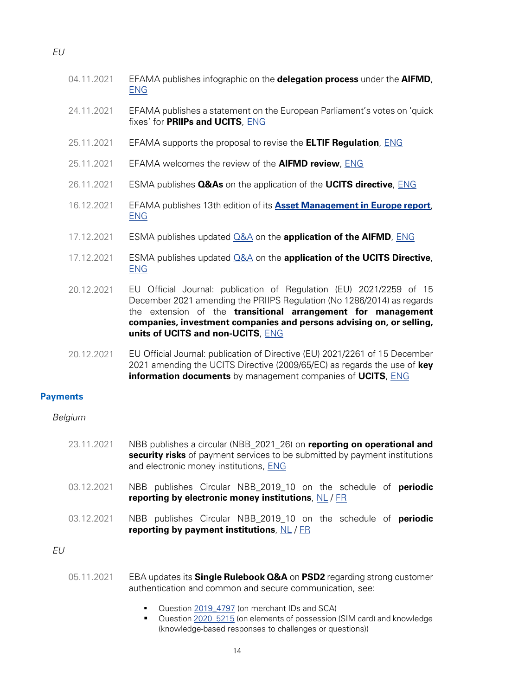<span id="page-14-0"></span>

| ۰.<br>×<br>۰. |
|---------------|
|---------------|

- 04.11.2021 EFAMA publishes infographic on the **delegation process** under the **AIFMD**, [ENG](https://www.efama.org/newsroom/news/infographic-delegation-process)
- 24.11.2021 EFAMA publishes a statement on the European Parliament's votes on 'quick fixes' for **PRIIPs and UCITS**, [ENG](https://www.efama.org/newsroom/news/european-parliament-votes-quick-fixes-priips-and-ucits-efama-statement)
- 25.11.2021 EFAMA supports the proposal to revise the **ELTIF Regulation**, [ENG](https://www.efama.org/newsroom/news/revised-eltif-long-term-opportunity-european-investors)
- 25.11.2021 EFAMA welcomes the review of the **AIFMD review**, [ENG](https://www.efama.org/newsroom/news/aifmd-review-how-tweak-successful-framework)
- 26.11.2021 ESMA publishes **Q&As** on the application of the **UCITS directive**, [ENG](https://www.esma.europa.eu/sites/default/files/library/esma34-43-392_qa_on_application_of_the_ucits_directive.pdf)
- 16.12.2021 EFAMA publishes 13th edition of its **[Asset Management in Europe report](https://www.efama.org/sites/default/files/files/Asset%20Management%20Report%202021_4.pdf)**, [ENG](https://www.efama.org/newsroom/news/annual-european-asset-management-report-report-highlights-key-developments-european)
- 17.12.2021 ESMA publishes updated [Q&A](https://www.esma.europa.eu/sites/default/files/library/esma34-32-352_qa_aifmd.pdf) on the **application of the AIFMD**, [ENG](https://www.esma.europa.eu/press-news/esma-news/new-qas-available-2)
- 17.12.2021 ESMA publishes updated [Q&A](https://www.esma.europa.eu/sites/default/files/library/esma34_43_392_qa_on_application_of_the_ucits_directive.pdf) on the **application of the UCITS Directive**, [ENG](https://www.esma.europa.eu/press-news/esma-news/new-qas-available-2)
- 20.12.2021 EU Official Journal: publication of Regulation (EU) 2021/2259 of 15 December 2021 amending the PRIIPS Regulation (No 1286/2014) as regards the extension of the **transitional arrangement for management companies, investment companies and persons advising on, or selling, units of UCITS and non-UCITS**, [ENG](https://eur-lex.europa.eu/legal-content/EN/TXT/?uri=celex%3A32014R1286)
- 20.12.2021 EU Official Journal: publication of Directive (EU) 2021/2261 of 15 December 2021 amending the UCITS Directive (2009/65/EC) as regards the use of **key information documents** by management companies of **UCITS**, [ENG](https://eur-lex.europa.eu/legal-content/EN/ALL/?uri=CELEX%3A32009L0065)

#### **Payments**

#### Belgium

- 23.11.2021 NBB publishes a circular (NBB\_2021\_26) on **reporting on operational and security risks** of payment services to be submitted by payment institutions and electronic money institutions, [ENG](https://www.nbb.be/en/financial-oversight/prudential-supervision/areas-responsibility/payment-institutions-and-electron-15)
- 03.12.2021 NBB publishes Circular NBB\_2019\_10 on the schedule of **periodic reporting by electronic money institutions**, [NL](https://www.nbb.be/nl/artikels/circulaire-nbb201910-circulaire-inzake-het-schema-van-periodieke-rapportering-door-de) / [FR](https://www.nbb.be/fr/articles/circulaire-nbb201910-circulaire-relative-au-schema-de-reporting-periodique-des)
- 03.12.2021 NBB publishes Circular NBB\_2019\_10 on the schedule of **periodic reporting by payment institutions**, [NL](https://www.nbb.be/nl/artikels/circulaire-nbb201831-circulaire-inzake-het-schema-van-periodieke-rapportering-door-de) / [FR](https://www.nbb.be/fr/articles/circulaire-nbb201831-circulaire-relative-au-schema-de-reporting-periodique-des)

#### $FU$

- 05.11.2021 EBA updates its **Single Rulebook Q&A** on **PSD2** regarding strong customer authentication and common and secure communication, see:
	- Question [2019\\_4797](https://www.eba.europa.eu/single-rule-book-qa/-/qna/view/publicId/2019_4797) (on merchant IDs and SCA)
	- Question [2020\\_5215](https://www.eba.europa.eu/single-rule-book-qa/qna/view/publicId/2020_5215) (on elements of possession (SIM card) and knowledge (knowledge-based responses to challenges or questions))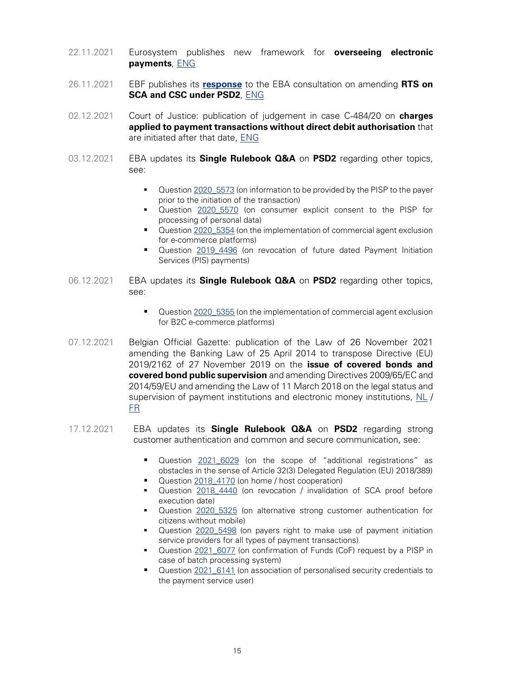- 22.11.2021 Eurosystem publishes new framework for **overseeing electronic payments**, [ENG](https://www.ecb.europa.eu/press/pr/date/2021/html/ecb.pr211122~381857cdfe.en.html)
- 26.11.2021 EBF publishes its **[response](https://www.ebf.eu/wp-content/uploads/2021/11/EBF-Response-to-EBA-Consultation-on-90-day-SCA-exemption.pdf)** to the EBA consultation on amending **RTS on SCA and CSC under PSD2**, [ENG](https://www.ebf.eu/innovation-cybersecurity/ebf-response-to-european-banking-authoritys-consultation-on-amending-rts-on-sca-and-csc-under-psd2-eba-cp-2021-32/)
- 02.12.2021 Court of Justice: publication of judgement in case C‑484/20 on **charges applied to payment transactions without direct debit authorisation** that are initiated after that date, [ENG](https://curia.europa.eu/juris/document/document.jsf?text=&docid=250402&pageIndex=0&doclang=EN&mode=lst&dir=&occ=first&part=1&cid=422951)
- 03.12.2021 EBA updates its **Single Rulebook Q&A** on **PSD2** regarding other topics, see:
	- **•** Question [2020\\_5573](https://www.eba.europa.eu/single-rule-book-qa/qna/view/publicId/2020_5573) (on information to be provided by the PISP to the payer prior to the initiation of the transaction)
	- Question 2020 5570 (on consumer explicit consent to the PISP for processing of personal data)
	- Question [2020\\_5354](https://www.eba.europa.eu/single-rule-book-qa/qna/view/publicId/2020_5354) (on the implementation of commercial agent exclusion for e-commerce platforms)
	- Question 2019 4496 (on revocation of future dated Payment Initiation Services (PIS) payments)
- 06.12.2021 EBA updates its **Single Rulebook Q&A** on **PSD2** regarding other topics, see:
	- Question [2020\\_5355](https://www.eba.europa.eu/single-rule-book-qa/qna/view/publicId/2020_5355) (on the implementation of commercial agent exclusion for B2C e-commerce platforms)
- 07.12.2021 Belgian Official Gazette: publication of the Law of 26 November 2021 amending the Banking Law of 25 April 2014 to transpose Directive (EU) 2019/2162 of 27 November 2019 on the **issue of covered bonds and covered bond public supervision** and amending Directives 2009/65/EC and 2014/59/EU and amending the Law of 11 March 2018 on the legal status and supervision of payment institutions and electronic money institutions, [NL](http://www.ejustice.just.fgov.be/cgi_loi/change_lg.pl?language=nl&la=N&cn=2021112604&table_name=wet) / [FR](http://www.ejustice.just.fgov.be/cgi_loi/change_lg.pl?language=fr&la=F&cn=2021112604&table_name=loi)
- 17.12.2021 EBA updates its **Single Rulebook Q&A** on **PSD2** regarding strong customer authentication and common and secure communication, see:
	- Question 2021 6029 (on the scope of "additional registrations" as obstacles in the sense of Article 32(3) Delegated Regulation (EU) 2018/389)
	- Question 2018 4170 (on home / host cooperation)
	- Question [2018\\_4440](https://www.eba.europa.eu/single-rule-book-qa/-/qna/view/publicId/2018_4440) (on revocation / invalidation of SCA proof before execution date)
	- Question 2020 5325 (on alternative strong customer authentication for citizens without mobile)
	- **•** Question [2020\\_5498](https://www.eba.europa.eu/single-rule-book-qa/qna/view/publicId/2020_5498) (on payers right to make use of payment initiation service providers for all types of payment transactions)
	- Question [2021\\_6077](https://www.eba.europa.eu/single-rule-book-qa/qna/view/publicId/2021_6077) (on confirmation of Funds (CoF) request by a PISP in case of batch processing system)
	- Question [2021\\_6141](https://www.eba.europa.eu/single-rule-book-qa/qna/view/publicId/2021_6141) (on association of personalised security credentials to the payment service user)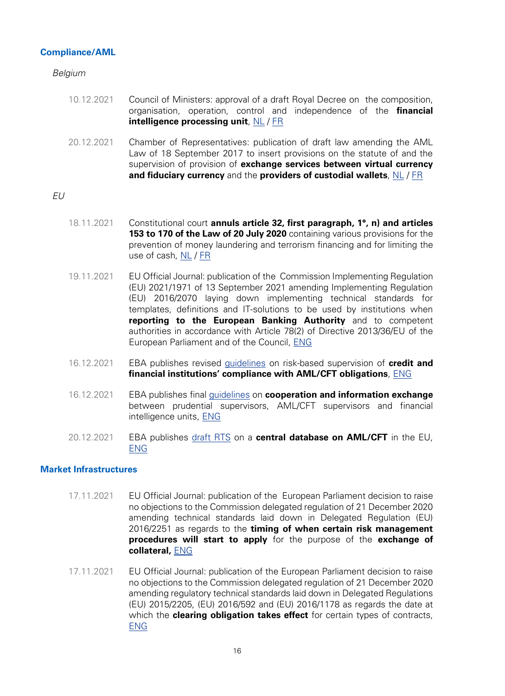# <span id="page-16-0"></span>**Compliance/AML**

Belgium

- 10.12.2021 Council of Ministers: approval of a draft Royal Decree on the composition, organisation, operation, control and independence of the **financial intelligence processing unit**, [NL](https://news.belgium.be/nl/organisatie-en-werking-van-de-cel-voor-financiele-informatieverwerking) / [FR](https://news.belgium.be/fr/organisation-et-fonctionnement-de-la-cellule-de-traitement-des-informations-financieres)
- 20.12.2021 Chamber of Representatives: publication of draft law amending the AML Law of 18 September 2017 to insert provisions on the statute of and the supervision of provision of **exchange services between virtual currency and fiduciary currency** and the **providers of custodial wallets**, [NL](https://www.dekamer.be/kvvcr/showpage.cfm?section=/none&leftmenu=no&language=nl&cfm=/site/wwwcfm/flwb/flwbn.cfm?lang=N&legislat=55&dossierID=2383) / [FR](https://www.dekamer.be/kvvcr/showpage.cfm?section=/none&leftmenu=no&language=fr&cfm=/site/wwwcfm/flwb/flwbn.cfm?lang=N&legislat=55&dossierID=2383)

# EU

- 18.11.2021 Constitutional court **annuls article 32, first paragraph, 1°, n) and articles 153 to 170 of the Law of 20 July 2020** containing various provisions for the prevention of money laundering and terrorism financing and for limiting the use of cash, [NL](https://www.const-court.be/public/n/2021/2021-166n.pdf) / [FR](https://www.const-court.be/public/f/2021/2021-166f.pdf)
- 19.11.2021 EU Official Journal: publication of the Commission Implementing Regulation (EU) 2021/1971 of 13 September 2021 amending Implementing Regulation (EU) 2016/2070 laying down implementing technical standards for templates, definitions and IT-solutions to be used by institutions when **reporting to the European Banking Authority** and to competent authorities in accordance with Article 78(2) of Directive 2013/36/EU of the European Parliament and of the Council, [ENG](https://eur-lex.europa.eu/legal-content/EN/TXT/?uri=uriserv%3AOJ.L_.2021.412.01.0001.01.ENG&toc=OJ%3AL%3A2021%3A412%3ATOC)
- 16.12.2021 EBA publishes revised [guidelines](https://www.eba.europa.eu/sites/default/documents/files/document_library/Publications/Guidelines/2021/EBA-GL-2021-16%20GL%20on%20RBA%20to%20AML%20CFT/1025507/EBA%20Final%20Report%20on%20GL%20on%20RBA%20AML%20CFT.pdf) on risk-based supervision of **credit and financial institutions' compliance with AML/CFT obligations**, [ENG](https://www.eba.europa.eu/eba-strengthens-amlcft-supervision-eu-through-revised-guidelines-and-enhanced-cooperation)
- 16.12.2021 EBA publishes final [guidelines](https://www.eba.europa.eu/sites/default/documents/files/document_library/Publications/Guidelines/2021/EBA-GL-2021-15%20GL%20on%20CFT%20cooperation/1025384/Final%20AML-CFT%20Cooperation%20Guidelines.pdf) on **cooperation and information exchange** between prudential supervisors, AML/CFT supervisors and financial intelligence units, [ENG](https://www.eba.europa.eu/eba-issues-final-guidelines-cooperation-and-information-exchange-between-prudential-supervisors)
- 20.12.2021 EBA publishes [draft RTS](https://www.eba.europa.eu/sites/default/documents/files/document_library/Publications/Draft%20Technical%20Standards/2021/1025576/RTS%20on%20AML%20CFT%20central%20data%20base.pdf) on a **central database on AML/CFT** in the EU, [ENG](https://www.eba.europa.eu/eba-paves-way-setting-central-database-anti-money-laundering-and-countering-financing-terrorism)

# **Market Infrastructures**

- 17.11.2021 EU Official Journal: publication of the European Parliament decision to raise no objections to the Commission delegated regulation of 21 December 2020 amending technical standards laid down in Delegated Regulation (EU) 2016/2251 as regards to the **timing of when certain risk management procedures will start to apply** for the purpose of the **exchange of collateral,** [ENG](https://eur-lex.europa.eu/legal-content/EN/TXT/?uri=uriserv%3AOJ.C_.2021.465.01.0178.01.ENG&toc=OJ%3AC%3A2021%3A465%3ATOC)
- 17.11.2021 EU Official Journal: publication of the European Parliament decision to raise no objections to the Commission delegated regulation of 21 December 2020 amending regulatory technical standards laid down in Delegated Regulations (EU) 2015/2205, (EU) 2016/592 and (EU) 2016/1178 as regards the date at which the **clearing obligation takes effect** for certain types of contracts, [ENG](https://eur-lex.europa.eu/legal-content/EN/TXT/?uri=uriserv%3AOJ.C_.2021.465.01.0180.01.ENG&toc=OJ%3AC%3A2021%3A465%3ATOC)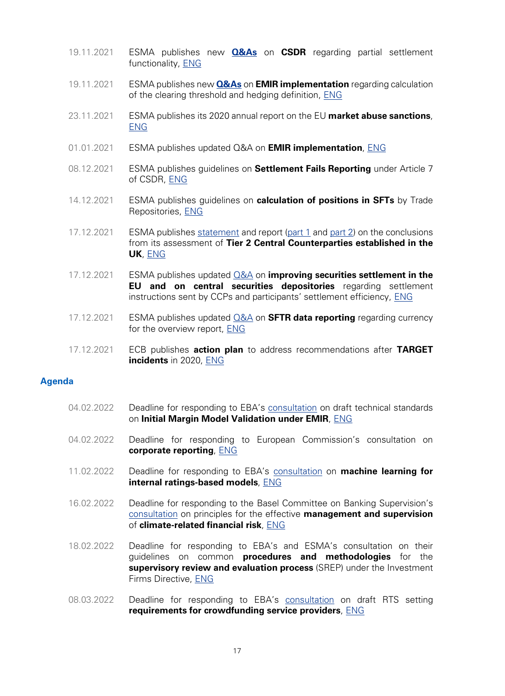- <span id="page-17-0"></span>19.11.2021 ESMA publishes new **[Q&As](https://www.esma.europa.eu/sites/default/files/library/esma70-708036281-2_csdr_qas_0.pdf)** on **CSDR** regarding partial settlement functionality, [ENG](https://www.esma.europa.eu/press-news/esma-news/new-qas-available-1)
- 19.11.2021 ESMA publishes new **[Q&As](https://www.esma.europa.eu/sites/default/files/library/esma70-1861941480-52_qa_on_emir_implementation.pdf)** on **EMIR implementation** regarding calculation of the clearing threshold and hedging definition, [ENG](https://www.esma.europa.eu/press-news/esma-news/new-qas-available-1)
- 23.11.2021 ESMA publishes its 2020 annual report on the EU **market abuse sanctions**, [ENG](https://www.esma.europa.eu/press-news/esma-news/esma-publishes-its-2020-annual-report-eu-market-abuse-sanctions)
- 01.01.2021 ESMA publishes updated Q&A on **EMIR implementation**, [ENG](https://www.esma.europa.eu/sites/default/files/library/esma70-1861941480-52_qa_on_emir_implementation.pdf)
- 08.12.2021 ESMA publishes guidelines on **Settlement Fails Reporting** under Article 7 of CSDR, [ENG](https://www.esma.europa.eu/sites/default/files/library/esma70-156-4717_guidelines_on_settlement_fails_reporting.pdf)
- 14.12.2021 ESMA publishes guidelines on **calculation of positions in SFTs** by Trade Repositories, [ENG](https://www.esma.europa.eu/sites/default/files/library/esma74-362-2176_guidelines_on_calculation_of_positions_in_sfts_by_trade_repositories_amended_17.11.2021.pdf)
- 17.12.2021 ESMA publishes [statement](https://www.esma.europa.eu/sites/default/files/library/esma91-372-1913_statement_uk_ccp_article25_2c_assessment_2021.pdf) and report [\(part 1](https://www.esma.europa.eu/sites/default/files/library/esma91-372-1945_redacted_assessment_report_under_article_252c_of_emir_ukccps_final_1of2.pdf) and [part 2\)](https://www.esma.europa.eu/sites/default/files/library/esma91-372-1945_redacted_assessment_report_under_article_252c_of_emir_ukccps_final_2of2.pdf) on the conclusions from its assessment of **Tier 2 Central Counterparties established in the UK**, [ENG](https://www.esma.europa.eu/press-news/esma-news/esma-publishes-results-its-assessment-systemically-important-uk-central)
- 17.12.2021 ESMA publishes updated [Q&A](https://www.esma.europa.eu/sites/default/files/library/esma70-708036281-2_csdr_qas_1.pdf) on **improving securities settlement in the EU and on central securities depositories** regarding settlement instructions sent by CCPs and participants' settlement efficiency, [ENG](https://www.esma.europa.eu/press-news/esma-news/new-qas-available-2)
- 17.12.2021 ESMA publishes updated [Q&A](https://www.esma.europa.eu/sites/default/files/library/esma74-362-893_qas_on_sftr_data_reporting.pdf) on **SFTR data reporting** regarding currency for the overview report, [ENG](https://www.esma.europa.eu/press-news/esma-news/new-qas-available-2)
- 17.12.2021 ECB publishes **action plan** to address recommendations after **TARGET incidents** in 2020, [ENG](https://www.ecb.europa.eu/press/pr/date/2021/html/ecb.pr211217_1~512f6a4e74.en.html)

# **Agenda**

- 04.02.2022 Deadline for responding to EBA's [consultation](https://www.eba.europa.eu/sites/default/documents/files/document_library/Publications/Consultations/2022/Consultation%20on%20draft%20RTS%20on%20IMMV%20under%20EMIR/1023511/CP%20RTS%20on%20Initial%20Margin%20Model%20Validation.pdf) on draft technical standards on **Initial Margin Model Validation under EMIR**, [ENG](https://www.eba.europa.eu/eba-consults-draft-technical-standards-initial-margin-model-validation-under-emir)
- 04.02.2022 Deadline for responding to European Commission's consultation on **corporate reporting**, [ENG](https://ec.europa.eu/info/law/better-regulation/have-your-say/initiatives/13128-Corporate-reporting-improving-its-quality-and-enforcement/public-consultation_en)
- 11.02.2022 Deadline for responding to EBA's [consultation](https://www.eba.europa.eu/sites/default/documents/files/document_library/Publications/Discussions/2022/Discussion%20on%20machine%20learning%20for%20IRB%20models/1023883/Discussion%20paper%20on%20machine%20learning%20for%20IRB%20models.pdf) on **machine learning for internal ratings-based models**, [ENG](https://www.eba.europa.eu/eba-consults-machine-learning-internal-ratings-based-models)
- 16.02.2022 Deadline for responding to the Basel Committee on Banking Supervision's [consultation](https://www.bis.org/bcbs/commentupload.htm?cdpath=/bcbs/publ/d530.htm) on principles for the effective **management and supervision** of **climate-related financial risk**, [ENG](https://www.bis.org/bcbs/publ/d530.htm)
- 18.02.2022 Deadline for responding to EBA's and ESMA's consultation on their guidelines on common **procedures and methodologies** for the **supervisory review and evaluation process** (SREP) under the Investment Firms Directive, [ENG](https://www.esma.europa.eu/press-news/esma-news/esma-and-eba-consult-framework-supervisory-review-and-evaluation-process)
- 08.03.2022 Deadline for responding to EBA's [consultation](https://www.eba.europa.eu/sites/default/documents/files/document_library/Publications/Consultations/2022/Consultation%20on%20draft%20RTS%20on%20credit%20scoring%20and%20loan%20pricing%20disclosure%2C%20credit%20risk%20assessment%20and%20risk%20management%20requirements%20for%20Crowdfunding%20Service%20Providers/1025175/CP%20on%20RTS2%20Art%2019%287%29%20ECSPR.pdf) on draft RTS setting **requirements for crowdfunding service providers**, [ENG](https://www.eba.europa.eu/eba-consults-draft-technical-standards-setting-requirements-crowdfunding-service-providers)